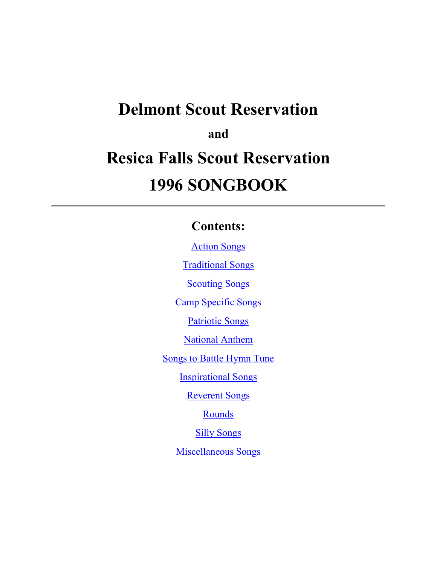# **Delmont Scout Reservation**

# **and**

# **Resica Falls Scout Reservation 1996 SONGBOOK**

# **Contents:**

**Action Songs** 

Traditional Songs

**Scouting Songs** 

Camp Specific Songs

Patriotic Songs

National Anthem

Songs to Battle Hymn Tune

Inspirational Songs

Reverent Songs

**Rounds** 

**Silly Songs** 

Miscellaneous Songs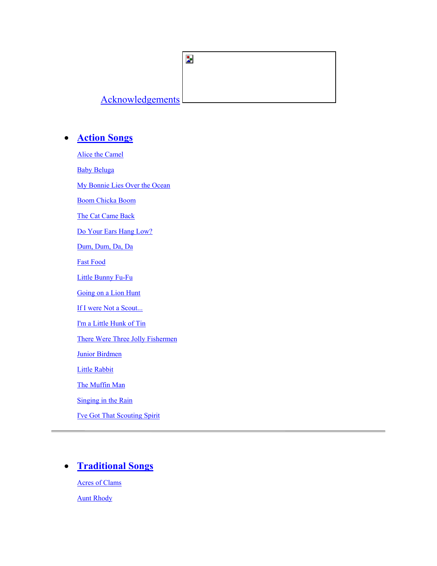|                         | b. |
|-------------------------|----|
|                         |    |
|                         |    |
| <b>Acknowledgements</b> |    |

# • **Action Songs**

Alice the Camel

Baby Beluga

My Bonnie Lies Over the Ocean

Boom Chicka Boom

The Cat Came Back

Do Your Ears Hang Low?

Dum, Dum, Da, Da

Fast Food

Little Bunny Fu-Fu

Going on a Lion Hunt

If I were Not a Scout...

I'm a Little Hunk of Tin

There Were Three Jolly Fishermen

Junior Birdmen

Little Rabbit

The Muffin Man

**Singing in the Rain** 

I've Got That Scouting Spirit

# • **Traditional Songs**

Acres of Clams Aunt Rhody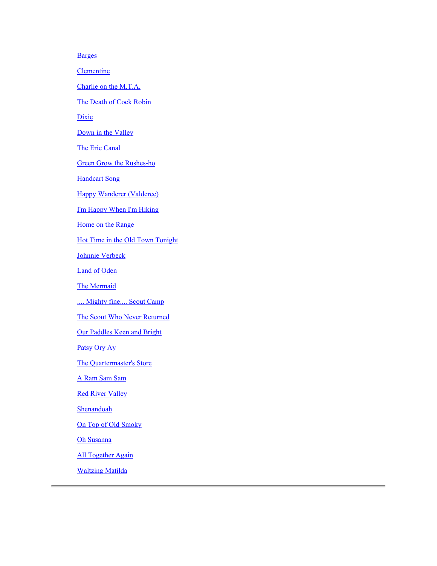**Barges Clementine** Charlie on the M.T.A. The Death of Cock Robin **Dixie** Down in the Valley The Erie Canal Green Grow the Rushes-ho Handcart Song Happy Wanderer (Valderee) I'm Happy When I'm Hiking Home on the Range Hot Time in the Old Town Tonight Johnnie Verbeck Land of Oden The Mermaid .... Mighty fine.... Scout Camp The Scout Who Never Returned Our Paddles Keen and Bright Patsy Ory Ay The Quartermaster's Store A Ram Sam Sam **Red River Valley** Shenandoah On Top of Old Smoky Oh Susanna **All Together Again** Waltzing Matilda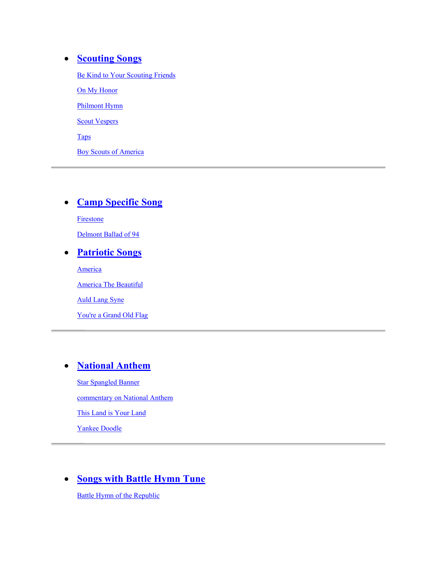# • **Scouting Songs**

Be Kind to Your Scouting Friends On My Honor Philmont Hymn **Scout Vespers Taps** Boy Scouts of America

# • **Camp Specific Song**

**Firestone** 

Delmont Ballad of 94

# • **Patriotic Songs**

**America** America The Beautiful Auld Lang Syne You're a Grand Old Flag

# • **National Anthem**

Star Spangled Banner commentary on National Anthem This Land is Your Land Yankee Doodle

# • **Songs with Battle Hymn Tune**

Battle Hymn of the Republic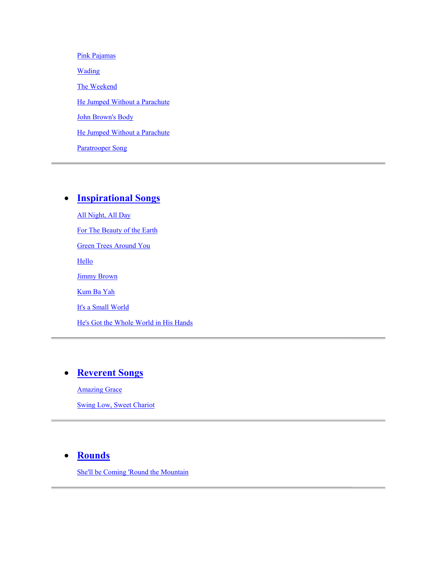Pink Pajamas Wading The Weekend He Jumped Without a Parachute John Brown's Body He Jumped Without a Parachute Paratrooper Song

# • **Inspirational Songs**

All Night, All Day For The Beauty of the Earth Green Trees Around You Hello **Jimmy Brown** Kum Ba Yah It's a Small World He's Got the Whole World in His Hands

# • **Reverent Songs**

Amazing Grace

Swing Low, Sweet Chariot

# • **Rounds**

She'll be Coming 'Round the Mountain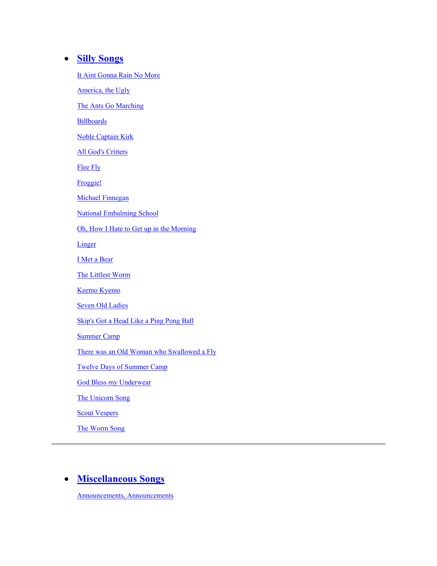# • **Silly Songs**

It Aint Gonna Rain No More

America, the Ugly

The Ants Go Marching

**Billboards** 

Noble Captain Kirk

All God's Critters

Flee Fly

Froggie!

Michael Finnegan

National Embalming School

Oh, How I Hate to Get up in the Morning

Linger

I Met a Bear

The Littlest Worm

Keemo Kyemo

Seven Old Ladies

Skip's Got a Head Like a Ping Pong Ball

Summer Camp

There was an Old Woman who Swallowed a Fly

Twelve Days of Summer Camp

God Bless my Underwear

The Unicorn Song

Scout Vespers

The Worm Song

# • **Miscellaneous Songs**

Announcements, Announcements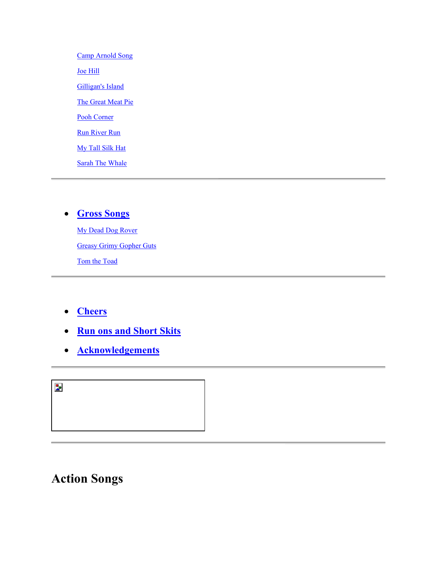Camp Arnold Song Joe Hill Gilligan's Island The Great Meat Pie Pooh Corner Run River Run My Tall Silk Hat Sarah The Whale

# • **Gross Songs**

My Dead Dog Rover Greasy Grimy Gopher Guts Tom the Toad

• **Cheers**

 $\overline{\phantom{a}}$ 

- **Run ons and Short Skits**
- **Acknowledgements**

**Action Songs**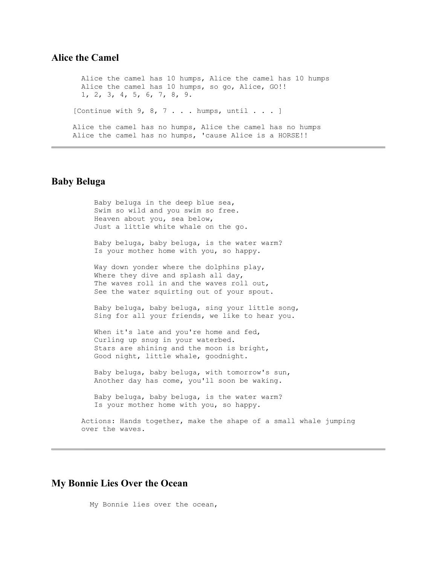# **Alice the Camel**

 Alice the camel has 10 humps, Alice the camel has 10 humps Alice the camel has 10 humps, so go, Alice, GO!! 1, 2, 3, 4, 5, 6, 7, 8, 9. [Continue with  $9, 8, 7...$  humps, until  $...$ ] Alice the camel has no humps, Alice the camel has no humps Alice the camel has no humps, 'cause Alice is a HORSE!!

### **Baby Beluga**

 Baby beluga in the deep blue sea, Swim so wild and you swim so free. Heaven about you, sea below, Just a little white whale on the go.

 Baby beluga, baby beluga, is the water warm? Is your mother home with you, so happy.

 Way down yonder where the dolphins play, Where they dive and splash all day, The waves roll in and the waves roll out, See the water squirting out of your spout.

 Baby beluga, baby beluga, sing your little song, Sing for all your friends, we like to hear you.

When it's late and you're home and fed, Curling up snug in your waterbed. Stars are shining and the moon is bright, Good night, little whale, goodnight.

 Baby beluga, baby beluga, with tomorrow's sun, Another day has come, you'll soon be waking.

 Baby beluga, baby beluga, is the water warm? Is your mother home with you, so happy.

 Actions: Hands together, make the shape of a small whale jumping over the waves.

#### **My Bonnie Lies Over the Ocean**

My Bonnie lies over the ocean,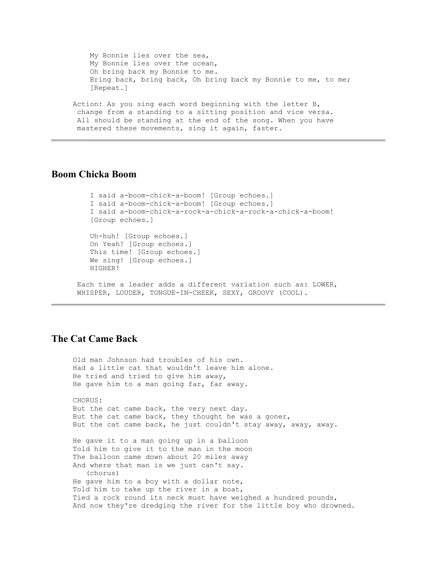```
 My Bonnie lies over the sea, 
     My Bonnie lies over the ocean, 
     Oh bring back my Bonnie to me. 
     Bring back, bring back, Oh bring back my Bonnie to me, to me; 
     [Repeat.] 
 Action: As you sing each word beginning with the letter B, 
  change from a standing to a sitting position and vice versa. 
 All should be standing at the end of the song. When you have 
 mastered these movements, sing it again, faster.
```
# **Boom Chicka Boom**

```
 I said a-boom-chick-a-boom! [Group echoes.] 
    I said a-boom-chick-a-boom! [Group echoes.] 
    I said a-boom-chick-a-rock-a-chick-a-rock-a-chick-a-boom! 
    [Group echoes.] 
    Uh-huh! [Group echoes.] 
    On Yeah! [Group echoes.] 
    This time! [Group echoes.] 
    We sing! [Group echoes.] 
    HIGHER! 
 Each time a leader adds a different variation such as: LOWER, 
 WHISPER, LOUDER, TONGUE-IN-CHEEK, SEXY, GROOVY (COOL).
```
# **The Cat Came Back**

 Old man Johnson had troubles of his own. Had a little cat that wouldn't leave him alone. He tried and tried to give him away, He gave him to a man going far, far away. CHORUS: But the cat came back, the very next day. But the cat came back, they thought he was a goner, But the cat came back, he just couldn't stay away, away, away. He gave it to a man going up in a balloon Told him to give it to the man in the moon The balloon came down about 20 miles away And where that man is we just can't say. (chorus) He gave him to a boy with a dollar note, Told him to take up the river in a boat, Tied a rock round its neck must have weighed a hundred pounds, And now they're dredging the river for the little boy who drowned.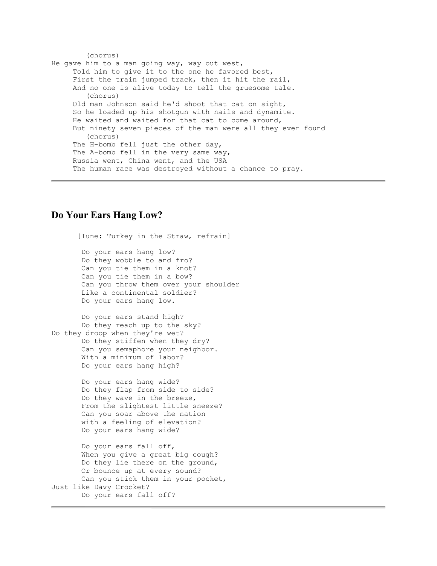(chorus) He gave him to a man going way, way out west, Told him to give it to the one he favored best, First the train jumped track, then it hit the rail, And no one is alive today to tell the gruesome tale. (chorus) Old man Johnson said he'd shoot that cat on sight, So he loaded up his shotgun with nails and dynamite. He waited and waited for that cat to come around, But ninety seven pieces of the man were all they ever found (chorus) The H-bomb fell just the other day, The A-bomb fell in the very same way, Russia went, China went, and the USA The human race was destroyed without a chance to pray.

# **Do Your Ears Hang Low?**

 [Tune: Turkey in the Straw, refrain] Do your ears hang low? Do they wobble to and fro? Can you tie them in a knot? Can you tie them in a bow? Can you throw them over your shoulder Like a continental soldier? Do your ears hang low. Do your ears stand high? Do they reach up to the sky? Do they droop when they're wet? Do they stiffen when they dry? Can you semaphore your neighbor. With a minimum of labor? Do your ears hang high? Do your ears hang wide? Do they flap from side to side? Do they wave in the breeze, From the slightest little sneeze? Can you soar above the nation with a feeling of elevation? Do your ears hang wide? Do your ears fall off, When you give a great big cough? Do they lie there on the ground, Or bounce up at every sound? Can you stick them in your pocket, Just like Davy Crocket? Do your ears fall off?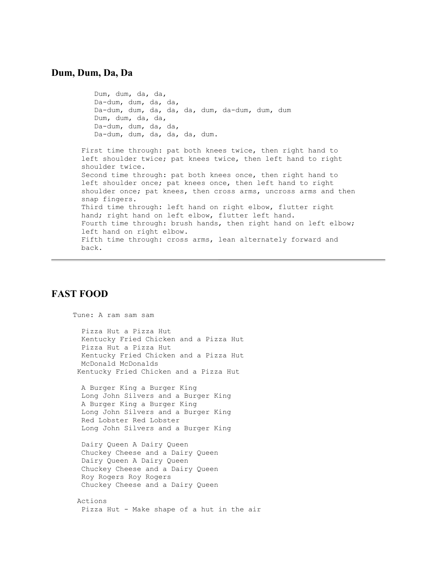#### **Dum, Dum, Da, Da**

 Dum, dum, da, da, Da-dum, dum, da, da, Da-dum, dum, da, da, da, dum, da-dum, dum, dum Dum, dum, da, da, Da-dum, dum, da, da, Da-dum, dum, da, da, da, dum. First time through: pat both knees twice, then right hand to left shoulder twice; pat knees twice, then left hand to right shoulder twice. Second time through: pat both knees once, then right hand to left shoulder once; pat knees once, then left hand to right shoulder once; pat knees, then cross arms, uncross arms and then snap fingers. Third time through: left hand on right elbow, flutter right hand; right hand on left elbow, flutter left hand. Fourth time through: brush hands, then right hand on left elbow;

 left hand on right elbow. Fifth time through: cross arms, lean alternately forward and back.

# **FAST FOOD**

 Tune: A ram sam sam Pizza Hut a Pizza Hut Kentucky Fried Chicken and a Pizza Hut Pizza Hut a Pizza Hut Kentucky Fried Chicken and a Pizza Hut McDonald McDonalds Kentucky Fried Chicken and a Pizza Hut A Burger King a Burger King Long John Silvers and a Burger King A Burger King a Burger King Long John Silvers and a Burger King Red Lobster Red Lobster Long John Silvers and a Burger King Dairy Queen A Dairy Queen Chuckey Cheese and a Dairy Queen Dairy Queen A Dairy Queen Chuckey Cheese and a Dairy Queen Roy Rogers Roy Rogers Chuckey Cheese and a Dairy Queen

 Actions Pizza Hut - Make shape of a hut in the air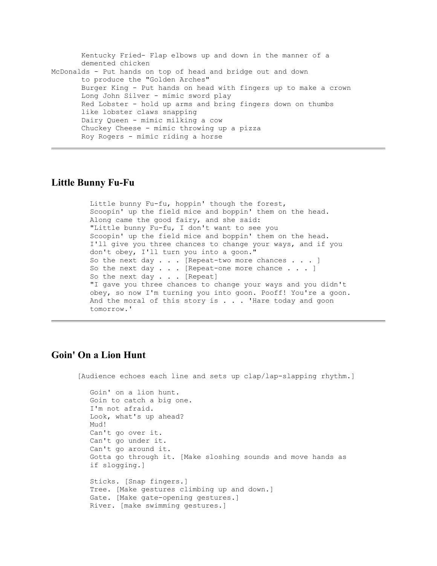```
 Kentucky Fried- Flap elbows up and down in the manner of a 
        demented chicken 
McDonalds - Put hands on top of head and bridge out and down 
        to produce the "Golden Arches" 
        Burger King - Put hands on head with fingers up to make a crown 
        Long John Silver - mimic sword play 
        Red Lobster - hold up arms and bring fingers down on thumbs 
        like lobster claws snapping 
        Dairy Queen - mimic milking a cow 
        Chuckey Cheese - mimic throwing up a pizza 
        Roy Rogers - mimic riding a horse
```
#### **Little Bunny Fu-Fu**

```
 Little bunny Fu-fu, hoppin' though the forest, 
 Scoopin' up the field mice and boppin' them on the head. 
 Along came the good fairy, and she said: 
 "Little bunny Fu-fu, I don't want to see you 
 Scoopin' up the field mice and boppin' them on the head. 
 I'll give you three chances to change your ways, and if you 
 don't obey, I'll turn you into a goon." 
So the next day . . . [Repeat-two more chances . . . ]
So the next day . . . [Repeat-one more chance . . . ]
So the next day . . . [Repeat]
 "I gave you three chances to change your ways and you didn't 
 obey, so now I'm turning you into goon. Pooff! You're a goon. 
And the moral of this story is . . . 'Hare today and goon
 tomorrow.'
```
# **Goin' On a Lion Hunt**

[Audience echoes each line and sets up clap/lap-slapping rhythm.]

```
 Goin' on a lion hunt. 
 Goin to catch a big one. 
 I'm not afraid. 
 Look, what's up ahead? 
 Mud! 
 Can't go over it. 
 Can't go under it. 
 Can't go around it. 
 Gotta go through it. [Make sloshing sounds and move hands as 
 if slogging.] 
 Sticks. [Snap fingers.] 
 Tree. [Make gestures climbing up and down.] 
 Gate. [Make gate-opening gestures.] 
 River. [make swimming gestures.]
```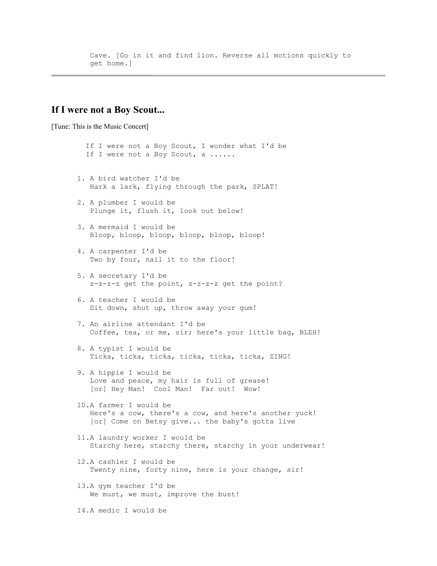Cave. [Go in it and find lion. Reverse all motions quickly to get home.]

# **If I were not a Boy Scout...**

[Tune: This is the Music Concert]

| If I were not a Boy Scout, I wonder what I'd be<br>If I were not a Boy Scout, a                                                  |  |
|----------------------------------------------------------------------------------------------------------------------------------|--|
| 1. A bird watcher I'd be<br>Hark a lark, flying through the park, SPLAT!                                                         |  |
| 2. A plumber I would be<br>Plunge it, flush it, look out below!                                                                  |  |
| 3. A mermaid I would be<br>Bloop, bloop, bloop, bloop, bloop, bloop!                                                             |  |
| 4. A carpenter I'd be<br>Two by four, nail it to the floor!                                                                      |  |
| 5. A secretary I'd be<br>z-z-z-z get the point, z-z-z-z get the point?                                                           |  |
| 6. A teacher I would be<br>Sit down, shut up, throw away your gum!                                                               |  |
| 7. An airline attendant I'd be<br>Coffee, tea, or me, sir; here's your little bag, BLEH!                                         |  |
| 8. A typist I would be<br>Ticka, ticka, ticka, ticka, ticka, ticka, ZING!                                                        |  |
| 9. A hippie I would be<br>Love and peace, my hair is full of grease!<br>[or] Hey Man! Cool Man! Far out! Wow!                    |  |
| 10.A farmer I would be<br>Here's a cow, there's a cow, and here's another yuck!<br>[or] Come on Betsy give the baby's gotta live |  |
| 11.A laundry worker I would be<br>Starchy here, starchy there, starchy in your underwear!                                        |  |
| 12.A cashier I would be<br>Twenty nine, forty nine, here is your change, sir!                                                    |  |
| 13.A gym teacher I'd be<br>We must, we must, improve the bust!                                                                   |  |
| 14.A medic I would be                                                                                                            |  |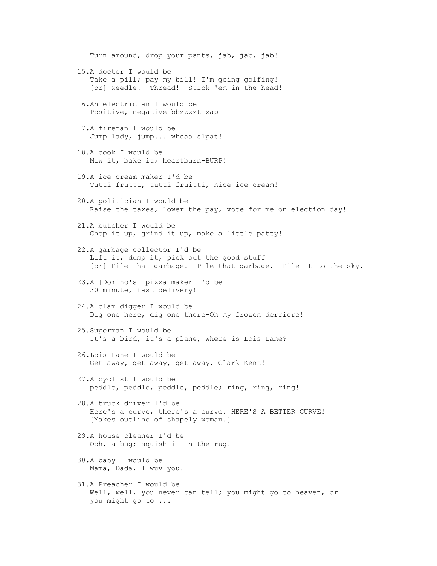Turn around, drop your pants, jab, jab, jab! 15.A doctor I would be Take a pill; pay my bill! I'm going golfing! [or] Needle! Thread! Stick 'em in the head! 16.An electrician I would be Positive, negative bbzzzzt zap 17.A fireman I would be Jump lady, jump... whoaa slpat! 18.A cook I would be Mix it, bake it; heartburn-BURP! 19.A ice cream maker I'd be Tutti-frutti, tutti-fruitti, nice ice cream! 20.A politician I would be Raise the taxes, lower the pay, vote for me on election day! 21.A butcher I would be Chop it up, grind it up, make a little patty! 22.A garbage collector I'd be Lift it, dump it, pick out the good stuff [or] Pile that garbage. Pile that garbage. Pile it to the sky. 23.A [Domino's] pizza maker I'd be 30 minute, fast delivery! 24.A clam digger I would be Dig one here, dig one there-Oh my frozen derriere! 25.Superman I would be It's a bird, it's a plane, where is Lois Lane? 26.Lois Lane I would be Get away, get away, get away, Clark Kent! 27.A cyclist I would be peddle, peddle, peddle, peddle; ring, ring, ring! 28.A truck driver I'd be Here's a curve, there's a curve. HERE'S A BETTER CURVE! [Makes outline of shapely woman.] 29.A house cleaner I'd be Ooh, a bug; squish it in the rug! 30.A baby I would be Mama, Dada, I wuv you! 31.A Preacher I would be Well, well, you never can tell; you might go to heaven, or you might go to ...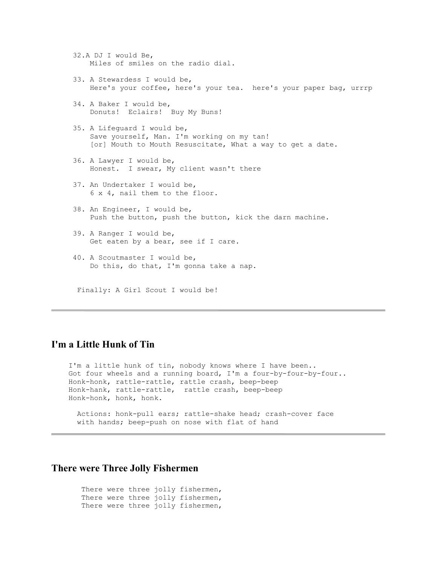32.A DJ I would Be, Miles of smiles on the radio dial.

- 33. A Stewardess I would be, Here's your coffee, here's your tea. here's your paper bag, urrrp
- 34. A Baker I would be, Donuts! Eclairs! Buy My Buns!
- 35. A Lifeguard I would be, Save yourself, Man. I'm working on my tan! [or] Mouth to Mouth Resuscitate, What a way to get a date.
- 36. A Lawyer I would be, Honest. I swear, My client wasn't there
- 37. An Undertaker I would be, 6 x 4, nail them to the floor.
- 38. An Engineer, I would be, Push the button, push the button, kick the darn machine.
- 39. A Ranger I would be, Get eaten by a bear, see if I care.
- 40. A Scoutmaster I would be, Do this, do that, I'm gonna take a nap.

```
 Finally: A Girl Scout I would be!
```
# **I'm a Little Hunk of Tin**

I'm a little hunk of tin, nobody knows where I have been.. Got four wheels and a running board, I'm a four-by-four-by-four.. Honk-honk, rattle-rattle, rattle crash, beep-beep Honk-hank, rattle-rattle, rattle crash, beep-beep Honk-honk, honk, honk. Actions: honk-pull ears; rattle-shake head; crash-cover face with hands; beep-push on nose with flat of hand

# **There were Three Jolly Fishermen**

There were three jolly fishermen, There were three jolly fishermen, There were three jolly fishermen,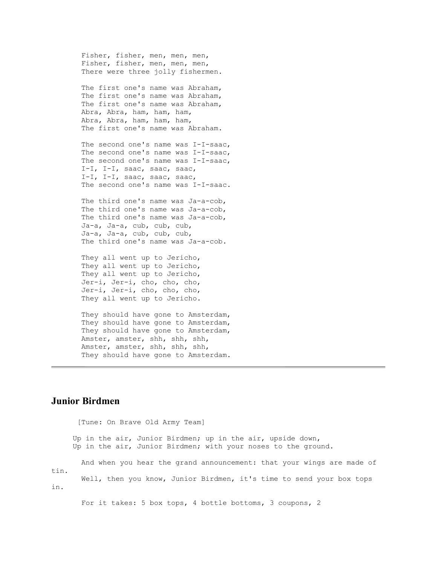Fisher, fisher, men, men, men, Fisher, fisher, men, men, men, There were three jolly fishermen.

 The first one's name was Abraham, The first one's name was Abraham, The first one's name was Abraham, Abra, Abra, ham, ham, ham, Abra, Abra, ham, ham, ham, The first one's name was Abraham.

 The second one's name was I-I-saac, The second one's name was I-I-saac, The second one's name was I-I-saac, I-I, I-I, saac, saac, saac, I-I, I-I, saac, saac, saac, The second one's name was I-I-saac.

The third one's name was Ja-a-cob, The third one's name was Ja-a-cob, The third one's name was Ja-a-cob, Ja-a, Ja-a, cub, cub, cub, Ja-a, Ja-a, cub, cub, cub, The third one's name was Ja-a-cob.

 They all went up to Jericho, They all went up to Jericho, They all went up to Jericho, Jer-i, Jer-i, cho, cho, cho, Jer-i, Jer-i, cho, cho, cho, They all went up to Jericho.

 They should have gone to Amsterdam, They should have gone to Amsterdam, They should have gone to Amsterdam, Amster, amster, shh, shh, shh, Amster, amster, shh, shh, shh, They should have gone to Amsterdam.

# **Junior Birdmen**

 [Tune: On Brave Old Army Team] Up in the air, Junior Birdmen; up in the air, upside down, Up in the air, Junior Birdmen; with your noses to the ground. And when you hear the grand announcement: that your wings are made of tin. Well, then you know, Junior Birdmen, it's time to send your box tops in. For it takes: 5 box tops, 4 bottle bottoms, 3 coupons, 2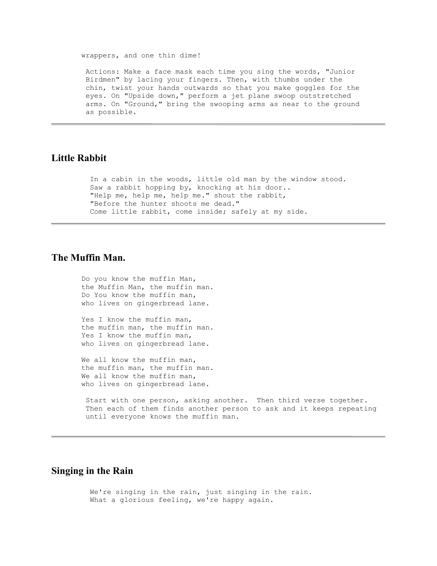wrappers, and one thin dime! Actions: Make a face mask each time you sing the words, "Junior Birdmen" by lacing your fingers. Then, with thumbs under the chin, twist your hands outwards so that you make goggles for the eyes. On "Upside down," perform a jet plane swoop outstretched arms. On "Ground," bring the swooping arms as near to the ground as possible.

# **Little Rabbit**

 In a cabin in the woods, little old man by the window stood. Saw a rabbit hopping by, knocking at his door.. "Help me, help me, help me." shout the rabbit, "Before the hunter shoots me dead." Come little rabbit, come inside; safely at my side.

# **The Muffin Man.**

 Do you know the muffin Man, the Muffin Man, the muffin man. Do You know the muffin man, who lives on gingerbread lane.

Yes I know the muffin man, the muffin man, the muffin man. Yes I know the muffin man, who lives on gingerbread lane.

We all know the muffin man, the muffin man, the muffin man. We all know the muffin man, who lives on gingerbread lane.

 Start with one person, asking another. Then third verse together. Then each of them finds another person to ask and it keeps repeating until everyone knows the muffin man.

# **Singing in the Rain**

 We're singing in the rain, just singing in the rain. What a glorious feeling, we're happy again.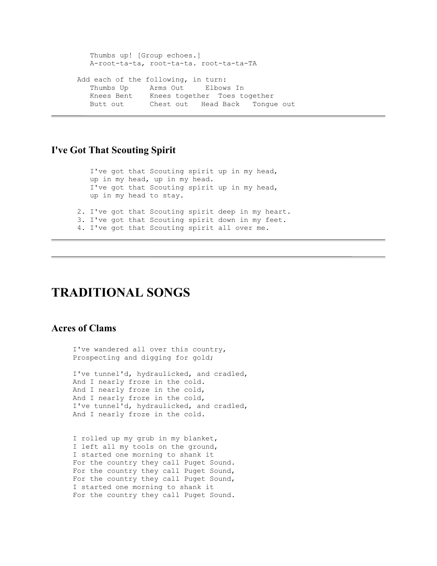```
 Thumbs up! [Group echoes.] 
        A-root-ta-ta, root-ta-ta. root-ta-ta-TA 
     Add each of the following, in turn: 
        Thumbs Up Arms Out Elbows In 
 Knees Bent Knees together Toes together 
 Butt out Chest out Head Back Tongue out
```
# **I've Got That Scouting Spirit**

 I've got that Scouting spirit up in my head, up in my head, up in my head. I've got that Scouting spirit up in my head, up in my head to stay. 2. I've got that Scouting spirit deep in my heart. 3. I've got that Scouting spirit down in my feet. 4. I've got that Scouting spirit all over me.

# **TRADITIONAL SONGS**

# **Acres of Clams**

 I've wandered all over this country, Prospecting and digging for gold;

 I've tunnel'd, hydraulicked, and cradled, And I nearly froze in the cold. And I nearly froze in the cold, And I nearly froze in the cold, I've tunnel'd, hydraulicked, and cradled, And I nearly froze in the cold.

 I rolled up my grub in my blanket, I left all my tools on the ground, I started one morning to shank it For the country they call Puget Sound. For the country they call Puget Sound, For the country they call Puget Sound, I started one morning to shank it For the country they call Puget Sound.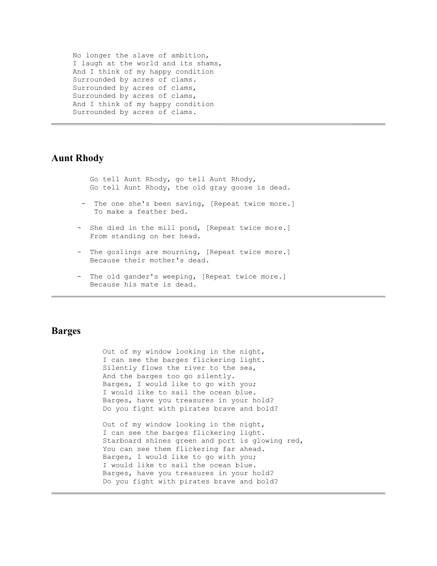No longer the slave of ambition, I laugh at the world and its shams, And I think of my happy condition Surrounded by acres of clams. Surrounded by acres of clams, Surrounded by acres of clams, And I think of my happy condition Surrounded by acres of clams.

# **Aunt Rhody**

 Go tell Aunt Rhody, go tell Aunt Rhody, Go tell Aunt Rhody, the old gray goose is dead.

- The one she's been saving, [Repeat twice more.] To make a feather bed.
- She died in the mill pond, [Repeat twice more.] From standing on her head.
- The goslings are mourning, [Repeat twice more.] Because their mother's dead.
- The old gander's weeping, [Repeat twice more.] Because his mate is dead.

### **Barges**

 Out of my window looking in the night, I can see the barges flickering light. Silently flows the river to the sea, And the barges too go silently. Barges, I would like to go with you; I would like to sail the ocean blue. Barges, have you treasures in your hold? Do you fight with pirates brave and bold?

 Out of my window looking in the night, I can see the barges flickering light. Starboard shines green and port is glowing red, You can see them flickering far ahead. Barges, I would like to go with you; I would like to sail the ocean blue. Barges, have you treasures in your hold? Do you fight with pirates brave and bold?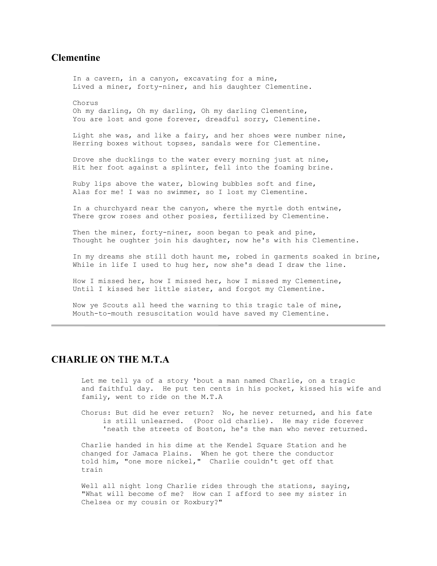# **Clementine**

 In a cavern, in a canyon, excavating for a mine, Lived a miner, forty-niner, and his daughter Clementine. Chorus Oh my darling, Oh my darling, Oh my darling Clementine, You are lost and gone forever, dreadful sorry, Clementine. Light she was, and like a fairy, and her shoes were number nine, Herring boxes without topses, sandals were for Clementine. Drove she ducklings to the water every morning just at nine, Hit her foot against a splinter, fell into the foaming brine. Ruby lips above the water, blowing bubbles soft and fine, Alas for me! I was no swimmer, so I lost my Clementine. In a churchyard near the canyon, where the myrtle doth entwine, There grow roses and other posies, fertilized by Clementine. Then the miner, forty-niner, soon began to peak and pine, Thought he oughter join his daughter, now he's with his Clementine. In my dreams she still doth haunt me, robed in garments soaked in brine, While in life I used to hug her, now she's dead I draw the line.

 How I missed her, how I missed her, how I missed my Clementine, Until I kissed her little sister, and forgot my Clementine.

 Now ye Scouts all heed the warning to this tragic tale of mine, Mouth-to-mouth resuscitation would have saved my Clementine.

# **CHARLIE ON THE M.T.A**

 Let me tell ya of a story 'bout a man named Charlie, on a tragic and faithful day. He put ten cents in his pocket, kissed his wife and family, went to ride on the M.T.A

 Chorus: But did he ever return? No, he never returned, and his fate is still unlearned. (Poor old charlie). He may ride forever 'neath the streets of Boston, he's the man who never returned.

 Charlie handed in his dime at the Kendel Square Station and he changed for Jamaca Plains. When he got there the conductor told him, "one more nickel," Charlie couldn't get off that train

Well all night long Charlie rides through the stations, saying, "What will become of me? How can I afford to see my sister in Chelsea or my cousin or Roxbury?"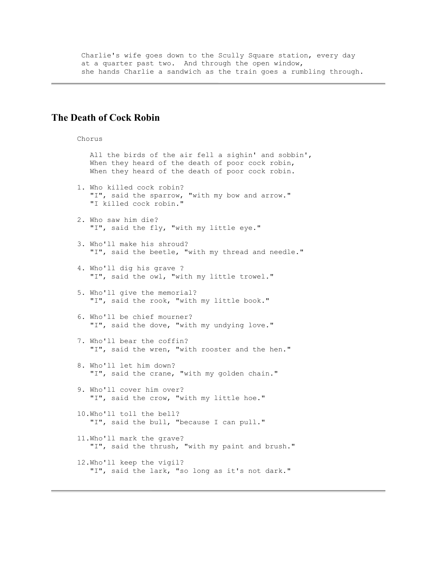Charlie's wife goes down to the Scully Square station, every day at a quarter past two. And through the open window, she hands Charlie a sandwich as the train goes a rumbling through.

# **The Death of Cock Robin**

Chorus

| All the birds of the air fell a sighin' and sobbin',<br>When they heard of the death of poor cock robin,<br>When they heard of the death of poor cock robin. |
|--------------------------------------------------------------------------------------------------------------------------------------------------------------|
| 1. Who killed cock robin?<br>"I", said the sparrow, "with my bow and arrow."<br>"I killed cock robin."                                                       |
| 2. Who saw him die?<br>"I", said the fly, "with my little eye."                                                                                              |
| 3. Who'll make his shroud?<br>"I", said the beetle, "with my thread and needle."                                                                             |
| 4. Who'll dig his grave ?<br>"I", said the owl, "with my little trowel."                                                                                     |
| 5. Who'll give the memorial?<br>"I", said the rook, "with my little book."                                                                                   |
| 6. Who'll be chief mourner?<br>"I", said the dove, "with my undying love."                                                                                   |
| 7. Who'll bear the coffin?<br>"I", said the wren, "with rooster and the hen."                                                                                |
| 8. Who'll let him down?<br>"I", said the crane, "with my golden chain."                                                                                      |
| 9. Who'll cover him over?<br>"I", said the crow, "with my little hoe."                                                                                       |
| 10. Who'll toll the bell?<br>"I", said the bull, "because I can pull."                                                                                       |
| 11. Who'll mark the grave?<br>"I", said the thrush, "with my paint and brush."                                                                               |
| 12. Who'll keep the vigil?<br>"I", said the lark, "so long as it's not dark."                                                                                |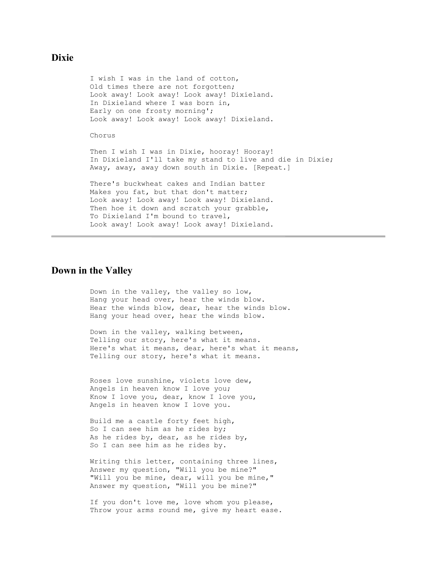### **Dixie**

 I wish I was in the land of cotton, Old times there are not forgotten; Look away! Look away! Look away! Dixieland. In Dixieland where I was born in, Early on one frosty morning'; Look away! Look away! Look away! Dixieland. Chorus Then I wish I was in Dixie, hooray! Hooray! In Dixieland I'll take my stand to live and die in Dixie; Away, away, away down south in Dixie. [Repeat.] There's buckwheat cakes and Indian batter Makes you fat, but that don't matter; Look away! Look away! Look away! Dixieland. Then hoe it down and scratch your grabble, To Dixieland I'm bound to travel, Look away! Look away! Look away! Dixieland.

# **Down in the Valley**

 Down in the valley, the valley so low, Hang your head over, hear the winds blow. Hear the winds blow, dear, hear the winds blow. Hang your head over, hear the winds blow.

 Down in the valley, walking between, Telling our story, here's what it means. Here's what it means, dear, here's what it means, Telling our story, here's what it means.

 Roses love sunshine, violets love dew, Angels in heaven know I love you; Know I love you, dear, know I love you, Angels in heaven know I love you.

 Build me a castle forty feet high, So I can see him as he rides by; As he rides by, dear, as he rides by, So I can see him as he rides by.

 Writing this letter, containing three lines, Answer my question, "Will you be mine?" "Will you be mine, dear, will you be mine," Answer my question, "Will you be mine?"

 If you don't love me, love whom you please, Throw your arms round me, give my heart ease.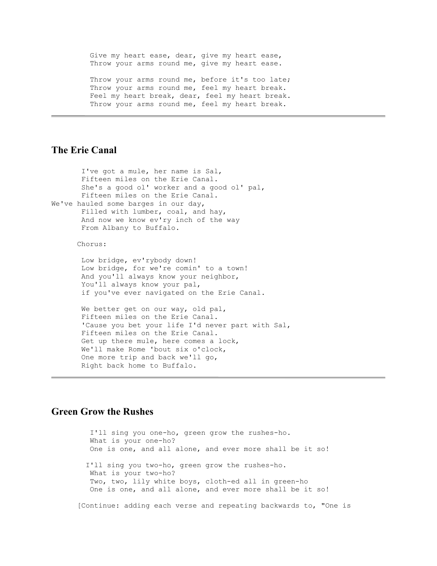Give my heart ease, dear, give my heart ease, Throw your arms round me, give my heart ease. Throw your arms round me, before it's too late; Throw your arms round me, feel my heart break. Feel my heart break, dear, feel my heart break. Throw your arms round me, feel my heart break.

# **The Erie Canal**

 I've got a mule, her name is Sal, Fifteen miles on the Erie Canal. She's a good ol' worker and a good ol' pal, Fifteen miles on the Erie Canal. We've hauled some barges in our day, Filled with lumber, coal, and hay, And now we know ev'ry inch of the way From Albany to Buffalo. Chorus: Low bridge, ev'rybody down! Low bridge, for we're comin' to a town! And you'll always know your neighbor, You'll always know your pal, if you've ever navigated on the Erie Canal. We better get on our way, old pal, Fifteen miles on the Erie Canal. 'Cause you bet your life I'd never part with Sal, Fifteen miles on the Erie Canal.

> We'll make Rome 'bout six o'clock, One more trip and back we'll go, Right back home to Buffalo.

Get up there mule, here comes a lock,

# **Green Grow the Rushes**

 I'll sing you one-ho, green grow the rushes-ho. What is your one-ho? One is one, and all alone, and ever more shall be it so! I'll sing you two-ho, green grow the rushes-ho. What is your two-ho? Two, two, lily white boys, cloth-ed all in green-ho One is one, and all alone, and ever more shall be it so!

[Continue: adding each verse and repeating backwards to, "One is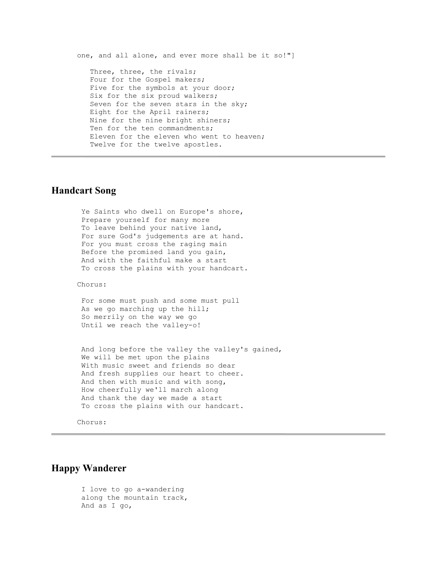one, and all alone, and ever more shall be it so!"]

 Three, three, the rivals; Four for the Gospel makers; Five for the symbols at your door; Six for the six proud walkers; Seven for the seven stars in the sky; Eight for the April rainers; Nine for the nine bright shiners; Ten for the ten commandments; Eleven for the eleven who went to heaven; Twelve for the twelve apostles.

# **Handcart Song**

 Ye Saints who dwell on Europe's shore, Prepare yourself for many more To leave behind your native land, For sure God's judgements are at hand. For you must cross the raging main Before the promised land you gain, And with the faithful make a start To cross the plains with your handcart.

Chorus:

 For some must push and some must pull As we go marching up the hill; So merrily on the way we go Until we reach the valley-o!

 And long before the valley the valley's gained, We will be met upon the plains With music sweet and friends so dear And fresh supplies our heart to cheer. And then with music and with song, How cheerfully we'll march along And thank the day we made a start To cross the plains with our handcart.

Chorus:

# **Happy Wanderer**

 I love to go a-wandering along the mountain track, And as I go,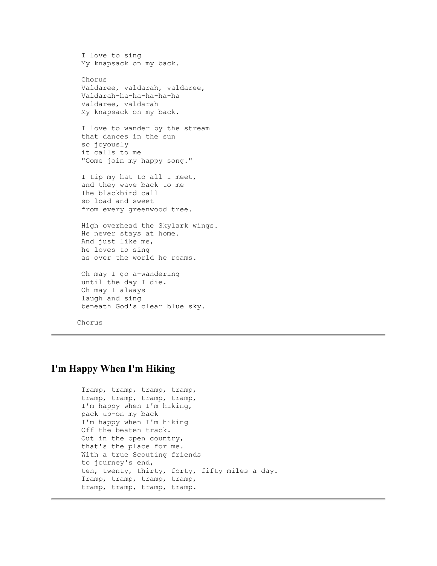```
 I love to sing 
 My knapsack on my back. 
 Chorus 
 Valdaree, valdarah, valdaree, 
 Valdarah-ha-ha-ha-ha-ha 
 Valdaree, valdarah 
 My knapsack on my back. 
 I love to wander by the stream 
 that dances in the sun 
 so joyously 
 it calls to me 
 "Come join my happy song." 
 I tip my hat to all I meet, 
 and they wave back to me 
 The blackbird call 
 so load and sweet 
 from every greenwood tree. 
 High overhead the Skylark wings. 
 He never stays at home. 
 And just like me, 
 he loves to sing 
 as over the world he roams. 
 Oh may I go a-wandering 
 until the day I die. 
 Oh may I always 
 laugh and sing 
 beneath God's clear blue sky.
```

```
 Chorus
```
# **I'm Happy When I'm Hiking**

```
 Tramp, tramp, tramp, tramp, 
 tramp, tramp, tramp, tramp, 
 I'm happy when I'm hiking, 
 pack up-on my back 
 I'm happy when I'm hiking 
 Off the beaten track. 
 Out in the open country, 
 that's the place for me. 
 With a true Scouting friends 
 to journey's end, 
 ten, twenty, thirty, forty, fifty miles a day. 
 Tramp, tramp, tramp, tramp, 
 tramp, tramp, tramp, tramp.
```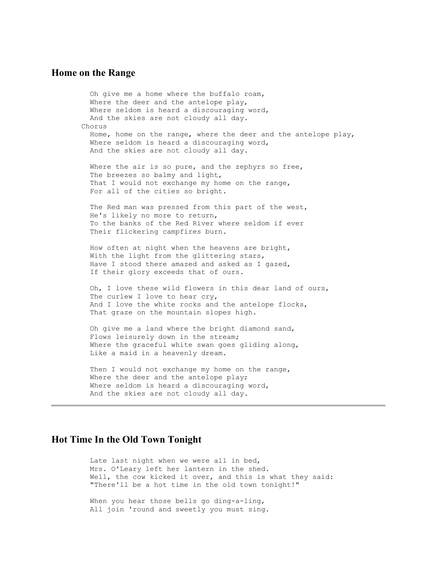#### **Home on the Range**

 Oh give me a home where the buffalo roam, Where the deer and the antelope play, Where seldom is heard a discouraging word, And the skies are not cloudy all day. Chorus Home, home on the range, where the deer and the antelope play, Where seldom is heard a discouraging word, And the skies are not cloudy all day. Where the air is so pure, and the zephyrs so free, The breezes so balmy and light, That I would not exchange my home on the range, For all of the cities so bright. The Red man was pressed from this part of the west, He's likely no more to return, To the banks of the Red River where seldom if ever Their flickering campfires burn. How often at night when the heavens are bright,

With the light from the glittering stars, Have I stood there amazed and asked as I gazed, If their glory exceeds that of ours.

 Oh, I love these wild flowers in this dear land of ours, The curlew I love to hear cry, And I love the white rocks and the antelope flocks, That graze on the mountain slopes high.

 Oh give me a land where the bright diamond sand, Flows leisurely down in the stream; Where the graceful white swan goes gliding along, Like a maid in a heavenly dream.

Then I would not exchange my home on the range, Where the deer and the antelope play; Where seldom is heard a discouraging word, And the skies are not cloudy all day.

# **Hot Time In the Old Town Tonight**

 Late last night when we were all in bed, Mrs. O'Leary left her lantern in the shed. Well, the cow kicked it over, and this is what they said: "There'll be a hot time in the old town tonight!"

When you hear those bells go ding-a-ling, All join 'round and sweetly you must sing.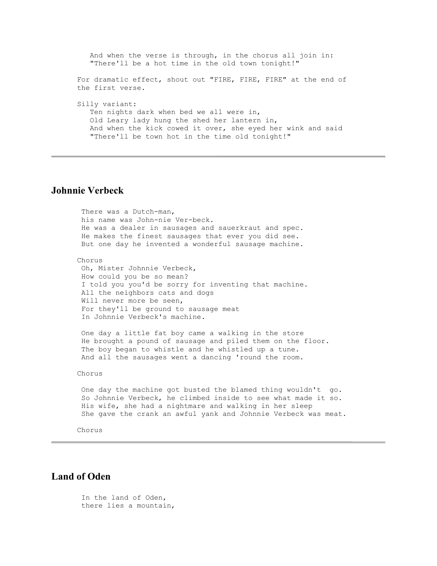And when the verse is through, in the chorus all join in: "There'll be a hot time in the old town tonight!" For dramatic effect, shout out "FIRE, FIRE, FIRE" at the end of the first verse. Silly variant: Ten nights dark when bed we all were in, Old Leary lady hung the shed her lantern in, And when the kick cowed it over, she eyed her wink and said "There'll be town hot in the time old tonight!"

# **Johnnie Verbeck**

 There was a Dutch-man, his name was John-nie Ver-beck. He was a dealer in sausages and sauerkraut and spec. He makes the finest sausages that ever you did see. But one day he invented a wonderful sausage machine. Chorus Oh, Mister Johnnie Verbeck, How could you be so mean? I told you you'd be sorry for inventing that machine. All the neighbors cats and dogs Will never more be seen, For they'll be ground to sausage meat In Johnnie Verbeck's machine. One day a little fat boy came a walking in the store He brought a pound of sausage and piled them on the floor. The boy began to whistle and he whistled up a tune. And all the sausages went a dancing 'round the room.

Chorus

 One day the machine got busted the blamed thing wouldn't go. So Johnnie Verbeck, he climbed inside to see what made it so. His wife, she had a nightmare and walking in her sleep She gave the crank an awful yank and Johnnie Verbeck was meat.

Chorus

# **Land of Oden**

 In the land of Oden, there lies a mountain,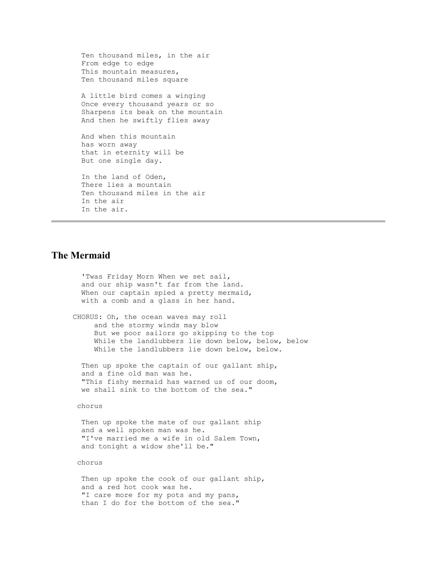```
 Ten thousand miles, in the air 
 From edge to edge 
 This mountain measures, 
 Ten thousand miles square
```
 A little bird comes a winging Once every thousand years or so Sharpens its beak on the mountain And then he swiftly flies away

 And when this mountain has worn away that in eternity will be But one single day.

```
 In the land of Oden, 
 There lies a mountain 
 Ten thousand miles in the air 
 In the air 
 In the air.
```
# **The Mermaid**

 'Twas Friday Morn When we set sail, and our ship wasn't far from the land. When our captain spied a pretty mermaid, with a comb and a glass in her hand.

 CHORUS: Oh, the ocean waves may roll and the stormy winds may blow But we poor sailors go skipping to the top While the landlubbers lie down below, below, below While the landlubbers lie down below, below.

Then up spoke the captain of our gallant ship, and a fine old man was he. "This fishy mermaid has warned us of our doom, we shall sink to the bottom of the sea."

#### chorus

Then up spoke the mate of our gallant ship and a well spoken man was he. "I've married me a wife in old Salem Town, and tonight a widow she'll be."

#### chorus

Then up spoke the cook of our gallant ship, and a red hot cook was he. "I care more for my pots and my pans, than I do for the bottom of the sea."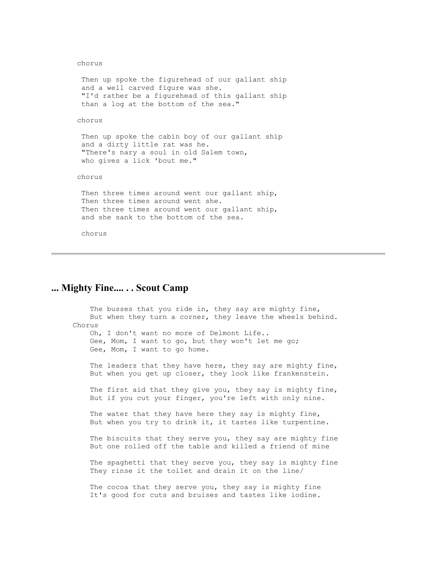```
 chorus 
 Then up spoke the figurehead of our gallant ship 
  and a well carved figure was she. 
  "I'd rather be a figurehead of this gallant ship 
 than a log at the bottom of the sea." 
 chorus 
 Then up spoke the cabin boy of our gallant ship 
 and a dirty little rat was he. 
 "There's nary a soul in old Salem town, 
 who gives a lick 'bout me." 
 chorus 
Then three times around went our gallant ship,
 Then three times around went she. 
Then three times around went our gallant ship,
 and she sank to the bottom of the sea. 
 chorus
```
# **... Mighty Fine.... . . Scout Camp**

The busses that you ride in, they say are mighty fine, But when they turn a corner, they leave the wheels behind. Chorus Oh, I don't want no more of Delmont Life.. Gee, Mom, I want to go, but they won't let me go; Gee, Mom, I want to go home. The leaders that they have here, they say are mighty fine, But when you get up closer, they look like frankenstein. The first aid that they give you, they say is mighty fine, But if you cut your finger, you're left with only nine. The water that they have here they say is mighty fine, But when you try to drink it, it tastes like turpentine. The biscuits that they serve you, they say are mighty fine But one rolled off the table and killed a friend of mine The spaghetti that they serve you, they say is mighty fine They rinse it the toilet and drain it on the line/ The cocoa that they serve you, they say is mighty fine It's good for cuts and bruises and tastes like iodine.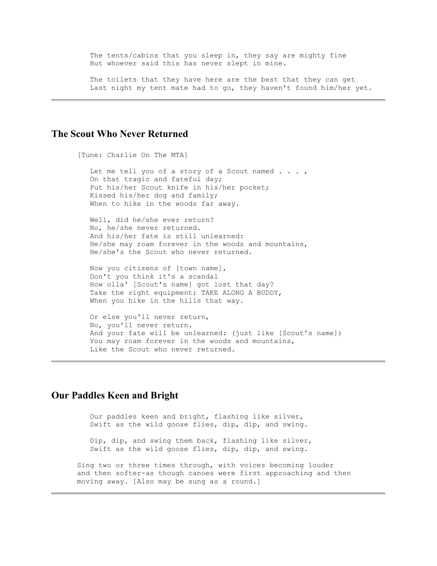The tents/cabins that you sleep in, they say are mighty fine But whoever said this has never slept in mine.

 The toilets that they have here are the best that they can get Last night my tent mate had to go, they haven't found him/her yet.

# **The Scout Who Never Returned**

[Tune: Charlie On The MTA]

Let me tell you of a story of a Scout named  $\ldots$ , On that tragic and fateful day; Put his/her Scout knife in his/her pocket; Kissed his/her dog and family; When to hike in the woods far away.

 Well, did he/she ever return? No, he/she never returned. And his/her fate is still unlearned: He/she may roam forever in the woods and mountains, He/she's the Scout who never returned.

 Now you citizens of [town name], Don't you think it's a scandal How olla' [Scout's name] got lost that day? Take the right equipment; TAKE ALONG A BUDDY, When you hike in the hills that way.

 Or else you'll never return, No, you'll never return. And your fate will be unlearned: (just like [Scout's name]) You may roam forever in the woods and mountains, Like the Scout who never returned.

#### **Our Paddles Keen and Bright**

 Our paddles keen and bright, flashing like silver, Swift as the wild goose flies, dip, dip, and swing.

 Dip, dip, and swing them back, flashing like silver, Swift as the wild goose flies, dip, dip, and swing.

 Sing two or three times through, with voices becoming louder and then softer-as though canoes were first approaching and then moving away. [Also may be sung as a round.]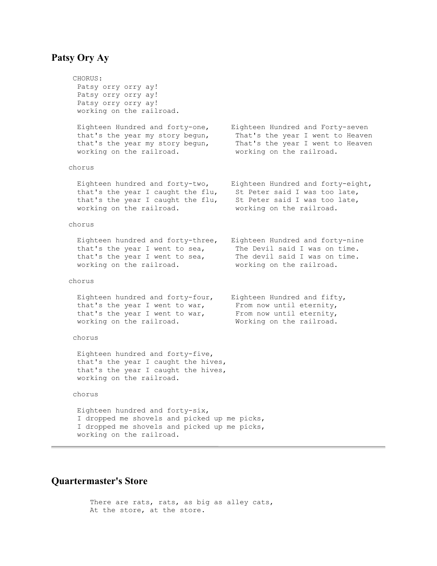# **Patsy Ory Ay**

 CHORUS: Patsy orry orry ay! Patsy orry orry ay! Patsy orry orry ay! working on the railroad. Eighteen Hundred and forty-one, Eighteen Hundred and Forty-seven that's the year my story begun, That's the year I went to Heaven that's the year my story begun, That's the year I went to Heaven working on the railroad. working on the railroad. chorus Eighteen hundred and forty-two, Eighteen Hundred and forty-eight, that's the year I caught the flu, St Peter said I was too late, that's the year I caught the flu, St Peter said I was too late, working on the railroad. working on the railroad. chorus Eighteen hundred and forty-three, Eighteen Hundred and forty-nine that's the year I went to sea, The Devil said I was on time. that's the year I went to sea, The devil said I was on time. working on the railroad. working on the railroad. chorus Eighteen hundred and forty-four, Eighteen Hundred and fifty, that's the year I went to war, The From now until eternity, that's the year I went to war, The From now until eternity, working on the railroad. Working on the railroad. chorus Eighteen hundred and forty-five, that's the year I caught the hives, that's the year I caught the hives, working on the railroad. chorus Eighteen hundred and forty-six, I dropped me shovels and picked up me picks, I dropped me shovels and picked up me picks,

#### working on the railroad.

### **Quartermaster's Store**

There are rats, rats, as big as alley cats, At the store, at the store.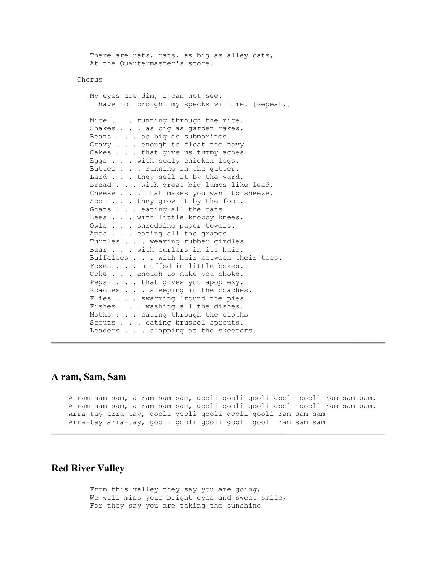There are rats, rats, as big as alley cats, At the Quartermaster's store.

#### Chorus

 My eyes are dim, I can not see. I have not brought my specks with me. [Repeat.] Mice . . . running through the rice. Snakes . . . as big as garden rakes. Beans . . . as big as submarines. Gravy . . . enough to float the navy. Cakes . . . that give us tummy aches. Eggs . . . with scaly chicken legs. Butter . . . running in the gutter. Lard . . . they sell it by the yard. Bread . . . with great big lumps like lead. Cheese . . . that makes you want to sneeze. Soot . . . they grow it by the foot. Goats . . . eating all the oats Bees . . . with little knobby knees. Owls . . . shredding paper towels. Apes . . . eating all the grapes. Turtles . . . wearing rubber girdles. Bear . . . with curlers in its hair. Buffaloes . . . with hair between their toes. Foxes . . . stuffed in little boxes. Coke . . . enough to make you choke. Pepsi . . . that gives you apoplexy. Roaches . . . sleeping in the coaches. Flies . . . swarming 'round the pies. Fishes . . . washing all the dishes. Moths . . . eating through the cloths Scouts . . . eating brussel sprouts. Leaders . . . slapping at the skeeters.

#### **A ram, Sam, Sam**

 A ram sam sam, a ram sam sam, gooli gooli gooli gooli gooli ram sam sam. A ram sam sam, a ram sam sam, gooli gooli gooli gooli gooli ram sam sam. Arra-tay arra-tay, gooli gooli gooli gooli gooli ram sam sam Arra-tay arra-tay, gooli gooli gooli gooli gooli ram sam sam

#### **Red River Valley**

 From this valley they say you are going, We will miss your bright eyes and sweet smile, For they say you are taking the sunshine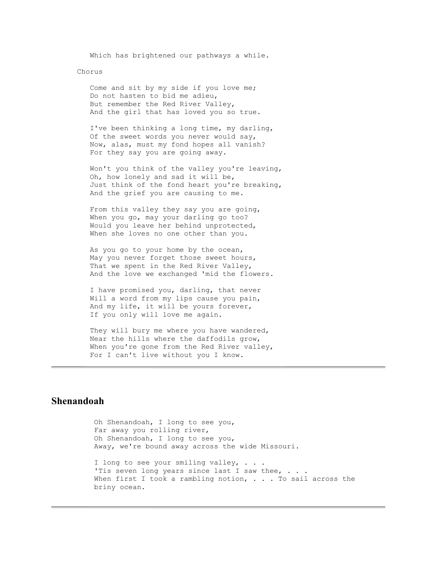Which has brightened our pathways a while.

#### Chorus

 Come and sit by my side if you love me; Do not hasten to bid me adieu, But remember the Red River Valley, And the girl that has loved you so true.

 I've been thinking a long time, my darling, Of the sweet words you never would say, Now, alas, must my fond hopes all vanish? For they say you are going away.

 Won't you think of the valley you're leaving, Oh, how lonely and sad it will be, Just think of the fond heart you're breaking, And the grief you are causing to me.

 From this valley they say you are going, When you go, may your darling go too? Would you leave her behind unprotected, When she loves no one other than you.

 As you go to your home by the ocean, May you never forget those sweet hours, That we spent in the Red River Valley, And the love we exchanged 'mid the flowers.

 I have promised you, darling, that never Will a word from my lips cause you pain, And my life, it will be yours forever, If you only will love me again.

They will bury me where you have wandered, Near the hills where the daffodils grow, When you're gone from the Red River valley, For I can't live without you I know.

# **Shenandoah**

 Oh Shenandoah, I long to see you, Far away you rolling river, Oh Shenandoah, I long to see you, Away, we're bound away across the wide Missouri. I long to see your smiling valley, . . . 'Tis seven long years since last I saw thee, . . . When first I took a rambling notion,  $\ldots$  . To sail across the briny ocean.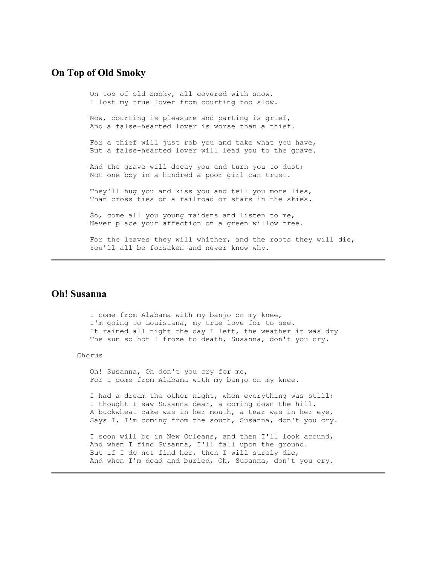### **On Top of Old Smoky**

 On top of old Smoky, all covered with snow, I lost my true lover from courting too slow.

 Now, courting is pleasure and parting is grief, And a false-hearted lover is worse than a thief.

 For a thief will just rob you and take what you have, But a false-hearted lover will lead you to the grave.

 And the grave will decay you and turn you to dust; Not one boy in a hundred a poor girl can trust.

They'll hug you and kiss you and tell you more lies, Than cross ties on a railroad or stars in the skies.

 So, come all you young maidens and listen to me, Never place your affection on a green willow tree.

 For the leaves they will whither, and the roots they will die, You'll all be forsaken and never know why.

# **Oh! Susanna**

 I come from Alabama with my banjo on my knee, I'm going to Louisiana, my true love for to see. It rained all night the day I left, the weather it was dry The sun so hot I froze to death, Susanna, don't you cry.

#### Chorus

 Oh! Susanna, Oh don't you cry for me, For I come from Alabama with my banjo on my knee.

 I had a dream the other night, when everything was still; I thought I saw Susanna dear, a coming down the hill. A buckwheat cake was in her mouth, a tear was in her eye, Says I, I'm coming from the south, Susanna, don't you cry.

 I soon will be in New Orleans, and then I'll look around, And when I find Susanna, I'll fall upon the ground. But if I do not find her, then I will surely die, And when I'm dead and buried, Oh, Susanna, don't you cry.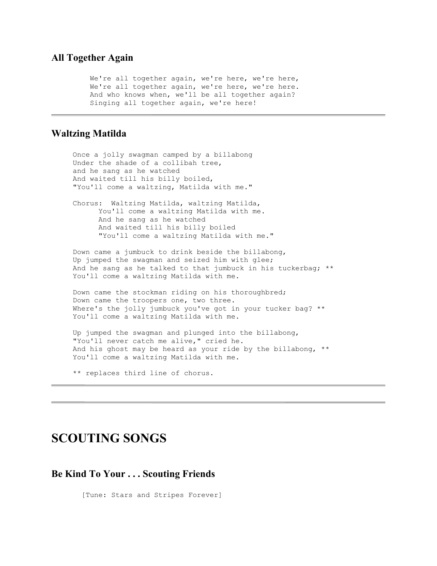### **All Together Again**

 We're all together again, we're here, we're here, We're all together again, we're here, we're here. And who knows when, we'll be all together again? Singing all together again, we're here!

# **Waltzing Matilda**

 Once a jolly swagman camped by a billabong Under the shade of a collibah tree, and he sang as he watched And waited till his billy boiled, "You'll come a waltzing, Matilda with me."

 Chorus: Waltzing Matilda, waltzing Matilda, You'll come a waltzing Matilda with me. And he sang as he watched And waited till his billy boiled "You'll come a waltzing Matilda with me."

 Down came a jumbuck to drink beside the billabong, Up jumped the swagman and seized him with glee; And he sang as he talked to that jumbuck in his tuckerbag; \*\* You'll come a waltzing Matilda with me.

 Down came the stockman riding on his thoroughbred; Down came the troopers one, two three. Where's the jolly jumbuck you've got in your tucker bag? \*\* You'll come a waltzing Matilda with me.

 Up jumped the swagman and plunged into the billabong, "You'll never catch me alive," cried he. And his ghost may be heard as your ride by the billabong,  $**$ You'll come a waltzing Matilda with me.

\*\* replaces third line of chorus.

# **SCOUTING SONGS**

# **Be Kind To Your . . . Scouting Friends**

[Tune: Stars and Stripes Forever]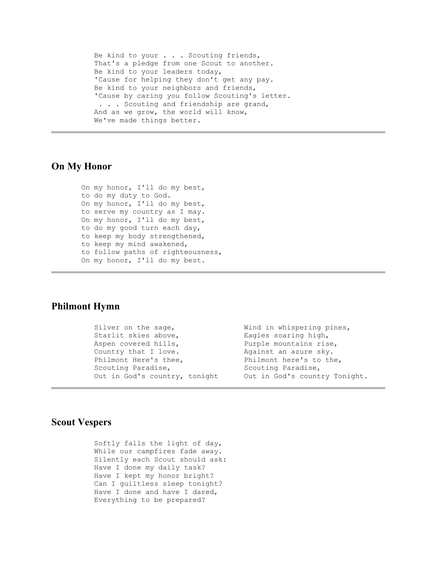Be kind to your . . . Scouting friends, That's a pledge from one Scout to another. Be kind to your leaders today, 'Cause for helping they don't get any pay. Be kind to your neighbors and friends, 'Cause by caring you follow Scouting's letter. . . . Scouting and friendship are grand, And as we grow, the world will know, We've made things better.

# **On My Honor**

```
 On my honor, I'll do my best, 
 to do my duty to God. 
 On my honor, I'll do my best, 
 to serve my country as I may. 
 On my honor, I'll do my best, 
 to do my good turn each day, 
 to keep my body strengthened, 
 to keep my mind awakened, 
 to follow paths of righteousness, 
 On my honor, I'll do my best.
```
# **Philmont Hymn**

Starlit skies above, Eagles soaring high, Aspen covered hills, Purple mountains rise, Country that I love. Against an azure sky. Philmont Here's thee, Philmont here's to the, Scouting Paradise, Scouting Paradise, Out in God's country, tonight Out in God's country Tonight.

Silver on the sage,  $N$  wind in whispering pines,

#### **Scout Vespers**

 Softly falls the light of day, While our campfires fade away. Silently each Scout should ask: Have I done my daily task? Have I kept my honor bright? Can I guiltless sleep tonight? Have I done and have I dared, Everything to be prepared?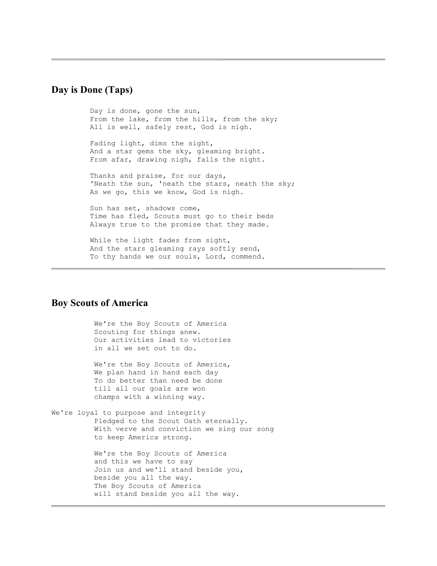### **Day is Done (Taps)**

 Day is done, gone the sun, From the lake, from the hills, from the sky; All is well, safely rest, God is nigh. Fading light, dims the sight, And a star gems the sky, gleaming bright. From afar, drawing nigh, falls the night. Thanks and praise, for our days, 'Neath the sun, 'neath the stars, neath the sky; As we go, this we know, God is nigh. Sun has set, shadows come,

 Time has fled, Scouts must go to their beds Always true to the promise that they made.

 While the light fades from sight, And the stars gleaming rays softly send, To thy hands we our souls, Lord, commend.

#### **Boy Scouts of America**

 We're the Boy Scouts of America Scouting for things anew. Our activities lead to victories in all we set out to do. We're the Boy Scouts of America, We plan hand in hand each day To do better than need be done till all our goals are won champs with a winning way. We're loyal to purpose and integrity Pledged to the Scout Oath eternally. With verve and conviction we sing our song to keep America strong. We're the Boy Scouts of America and this we have to say Join us and we'll stand beside you, beside you all the way. The Boy Scouts of America

will stand beside you all the way.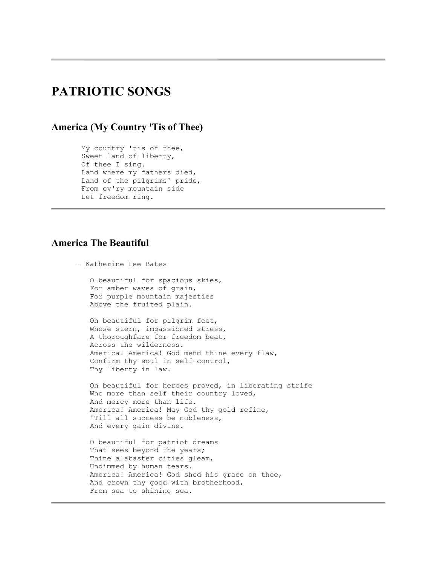# **PATRIOTIC SONGS**

#### **America (My Country 'Tis of Thee)**

```
 My country 'tis of thee, 
 Sweet land of liberty, 
 Of thee I sing. 
 Land where my fathers died, 
 Land of the pilgrims' pride, 
 From ev'ry mountain side 
 Let freedom ring.
```
#### **America The Beautiful**

```
 - Katherine Lee Bates 
   O beautiful for spacious skies, 
   For amber waves of grain, 
   For purple mountain majesties 
   Above the fruited plain. 
   Oh beautiful for pilgrim feet, 
   Whose stern, impassioned stress, 
   A thoroughfare for freedom beat, 
   Across the wilderness. 
   America! America! God mend thine every flaw, 
   Confirm thy soul in self-control, 
   Thy liberty in law. 
   Oh beautiful for heroes proved, in liberating strife 
  Who more than self their country loved,
   And mercy more than life. 
   America! America! May God thy gold refine, 
    'Till all success be nobleness, 
   And every gain divine. 
   O beautiful for patriot dreams 
  That sees beyond the years;
   Thine alabaster cities gleam, 
   Undimmed by human tears. 
   America! America! God shed his grace on thee, 
   And crown thy good with brotherhood, 
   From sea to shining sea.
```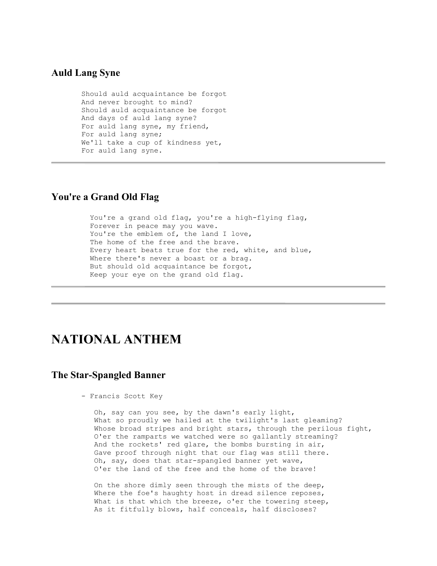#### **Auld Lang Syne**

 Should auld acquaintance be forgot And never brought to mind? Should auld acquaintance be forgot And days of auld lang syne? For auld lang syne, my friend, For auld lang syne; We'll take a cup of kindness yet, For auld lang syne.

#### **You're a Grand Old Flag**

You're a grand old flag, you're a high-flying flag, Forever in peace may you wave. You're the emblem of, the land I love, The home of the free and the brave. Every heart beats true for the red, white, and blue, Where there's never a boast or a brag. But should old acquaintance be forgot, Keep your eye on the grand old flag.

# **NATIONAL ANTHEM**

#### **The Star-Spangled Banner**

- Francis Scott Key

 Oh, say can you see, by the dawn's early light, What so proudly we hailed at the twilight's last gleaming? Whose broad stripes and bright stars, through the perilous fight, O'er the ramparts we watched were so gallantly streaming? And the rockets' red glare, the bombs bursting in air, Gave proof through night that our flag was still there. Oh, say, does that star-spangled banner yet wave, O'er the land of the free and the home of the brave!

 On the shore dimly seen through the mists of the deep, Where the foe's haughty host in dread silence reposes, What is that which the breeze, o'er the towering steep, As it fitfully blows, half conceals, half discloses?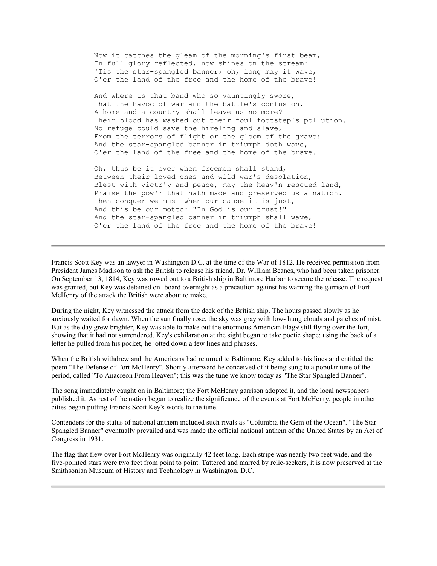Now it catches the gleam of the morning's first beam, In full glory reflected, now shines on the stream: 'Tis the star-spangled banner; oh, long may it wave, O'er the land of the free and the home of the brave!

 And where is that band who so vauntingly swore, That the havoc of war and the battle's confusion, A home and a country shall leave us no more? Their blood has washed out their foul footstep's pollution. No refuge could save the hireling and slave, From the terrors of flight or the gloom of the grave: And the star-spangled banner in triumph doth wave, O'er the land of the free and the home of the brave.

 Oh, thus be it ever when freemen shall stand, Between their loved ones and wild war's desolation, Blest with victr'y and peace, may the heav'n-rescued land, Praise the pow'r that hath made and preserved us a nation. Then conquer we must when our cause it is just, And this be our motto: "In God is our trust!" And the star-spangled banner in triumph shall wave, O'er the land of the free and the home of the brave!

Francis Scott Key was an lawyer in Washington D.C. at the time of the War of 1812. He received permission from President James Madison to ask the British to release his friend, Dr. William Beanes, who had been taken prisoner. On September 13, 1814, Key was rowed out to a British ship in Baltimore Harbor to secure the release. The request was granted, but Key was detained on- board overnight as a precaution against his warning the garrison of Fort McHenry of the attack the British were about to make.

During the night, Key witnessed the attack from the deck of the British ship. The hours passed slowly as he anxiously waited for dawn. When the sun finally rose, the sky was gray with low- hung clouds and patches of mist. But as the day grew brighter, Key was able to make out the enormous American Flag9 still flying over the fort, showing that it had not surrendered. Key's exhilaration at the sight began to take poetic shape; using the back of a letter he pulled from his pocket, he jotted down a few lines and phrases.

When the British withdrew and the Americans had returned to Baltimore, Key added to his lines and entitled the poem "The Defense of Fort McHenry". Shortly afterward he conceived of it being sung to a popular tune of the period, called "To Anacreon From Heaven"; this was the tune we know today as "The Star Spangled Banner".

The song immediately caught on in Baltimore; the Fort McHenry garrison adopted it, and the local newspapers published it. As rest of the nation began to realize the significance of the events at Fort McHenry, people in other cities began putting Francis Scott Key's words to the tune.

Contenders for the status of national anthem included such rivals as "Columbia the Gem of the Ocean". "The Star Spangled Banner" eventually prevailed and was made the official national anthem of the United States by an Act of Congress in 1931.

The flag that flew over Fort McHenry was originally 42 feet long. Each stripe was nearly two feet wide, and the five-pointed stars were two feet from point to point. Tattered and marred by relic-seekers, it is now preserved at the Smithsonian Museum of History and Technology in Washington, D.C.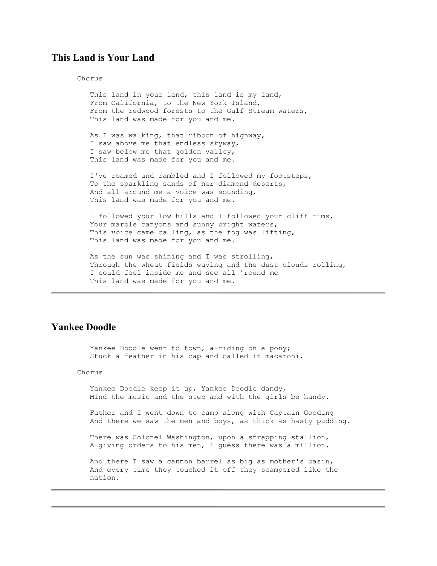#### **This Land is Your Land**

Chorus

This land in your land, this land is my land, From California, to the New York Island, From the redwood forests to the Gulf Stream waters, This land was made for you and me.

 As I was walking, that ribbon of highway, I saw above me that endless skyway, I saw below me that golden valley, This land was made for you and me.

 I've roamed and rambled and I followed my footsteps, To the sparkling sands of her diamond deserts, And all around me a voice was sounding, This land was made for you and me.

 I followed your low hills and I followed your cliff rims, Your marble canyons and sunny bright waters, This voice came calling, as the fog was lifting, This land was made for you and me.

 As the sun was shining and I was strolling, Through the wheat fields waving and the dust clouds rolling, I could feel inside me and see all 'round me This land was made for you and me.

#### **Yankee Doodle**

 Yankee Doodle went to town, a-riding on a pony; Stuck a feather in his cap and called it macaroni.

#### Chorus

 Yankee Doodle keep it up, Yankee Doodle dandy, Mind the music and the step and with the girls be handy.

 Father and I went down to camp along with Captain Gooding And there we saw the men and boys, as thick as hasty pudding.

 There was Colonel Washington, upon a strapping stallion, A-giving orders to his men, I guess there was a million.

 And there I saw a cannon barrel as big as mother's basin, And every time they touched it off they scampered like the nation.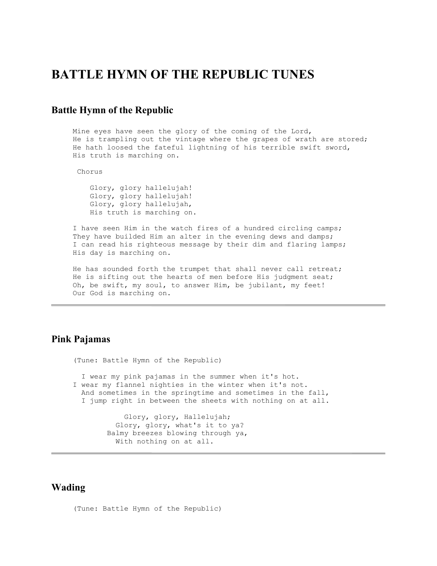# **BATTLE HYMN OF THE REPUBLIC TUNES**

#### **Battle Hymn of the Republic**

 Mine eyes have seen the glory of the coming of the Lord, He is trampling out the vintage where the grapes of wrath are stored; He hath loosed the fateful lightning of his terrible swift sword, His truth is marching on.

Chorus

 Glory, glory hallelujah! Glory, glory hallelujah! Glory, glory hallelujah, His truth is marching on.

 I have seen Him in the watch fires of a hundred circling camps; They have builded Him an alter in the evening dews and damps; I can read his righteous message by their dim and flaring lamps; His day is marching on.

He has sounded forth the trumpet that shall never call retreat; He is sifting out the hearts of men before His judgment seat; Oh, be swift, my soul, to answer Him, be jubilant, my feet! Our God is marching on.

#### **Pink Pajamas**

 (Tune: Battle Hymn of the Republic) I wear my pink pajamas in the summer when it's hot. I wear my flannel nighties in the winter when it's not. And sometimes in the springtime and sometimes in the fall, I jump right in between the sheets with nothing on at all.

> Glory, glory, Hallelujah; Glory, glory, what's it to ya? Balmy breezes blowing through ya, With nothing on at all.

### **Wading**

(Tune: Battle Hymn of the Republic)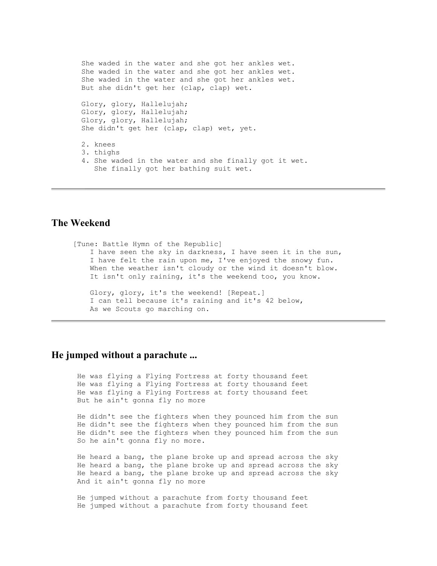```
 She waded in the water and she got her ankles wet. 
 She waded in the water and she got her ankles wet. 
 She waded in the water and she got her ankles wet. 
 But she didn't get her (clap, clap) wet. 
 Glory, glory, Hallelujah; 
 Glory, glory, Hallelujah; 
 Glory, glory, Hallelujah; 
 She didn't get her (clap, clap) wet, yet. 
 2. knees 
 3. thighs 
 4. She waded in the water and she finally got it wet. 
    She finally got her bathing suit wet.
```
#### **The Weekend**

 [Tune: Battle Hymn of the Republic] I have seen the sky in darkness, I have seen it in the sun, I have felt the rain upon me, I've enjoyed the snowy fun. When the weather isn't cloudy or the wind it doesn't blow. It isn't only raining, it's the weekend too, you know. Glory, glory, it's the weekend! [Repeat.] I can tell because it's raining and it's 42 below, As we Scouts go marching on.

#### **He jumped without a parachute ...**

 He was flying a Flying Fortress at forty thousand feet He was flying a Flying Fortress at forty thousand feet He was flying a Flying Fortress at forty thousand feet But he ain't gonna fly no more

 He didn't see the fighters when they pounced him from the sun He didn't see the fighters when they pounced him from the sun He didn't see the fighters when they pounced him from the sun So he ain't gonna fly no more.

 He heard a bang, the plane broke up and spread across the sky He heard a bang, the plane broke up and spread across the sky He heard a bang, the plane broke up and spread across the sky And it ain't gonna fly no more

 He jumped without a parachute from forty thousand feet He jumped without a parachute from forty thousand feet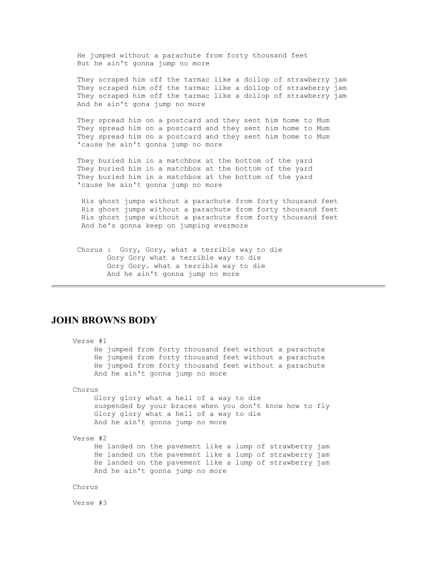He jumped without a parachute from forty thousand feet But he ain't gonna jump no more

 They scraped him off the tarmac like a dollop of strawberry jam They scraped him off the tarmac like a dollop of strawberry jam They scraped him off the tarmac like a dollop of strawberry jam And he ain't gona jump no more

 They spread him on a postcard and they sent him home to Mum They spread him on a postcard and they sent him home to Mum They spread him on a postcard and they sent him home to Mum 'cause he ain't gonna jump no more

 They buried him in a matchbox at the bottom of the yard They buried him in a matchbox at the bottom of the yard They buried him in a matchbox at the bottom of the yard 'cause he ain't gonna jump no more

 His ghost jumps without a parachute from forty thousand feet His ghost jumps without a parachute from forty thousand feet His ghost jumps without a parachute from forty thousand feet And he's gonna keep on jumping evermore

 Chorus : Gory, Gory, what a terrible way to die Gory Gory what a terrible way to die Gory Gory. what a terrible way to die And he ain't gonna jump no more

#### **JOHN BROWNS BODY**

```
 Verse #1 
      He jumped from forty thousand feet without a parachute 
      He jumped from forty thousand feet without a parachute 
      He jumped from forty thousand feet without a parachute 
      And he ain't gonna jump no more 
 Chorus 
      Glory glory what a hell of a way to die 
      suspended by your braces when you don't know how to fly 
      Glory glory what a hell of a way to die 
      And he ain't gonna jump no more 
 Verse #2 
      He landed on the pavement like a lump of strawberry jam 
      He landed on the pavement like a lump of strawberry jam 
      He landed on the pavement like a lump of strawberry jam 
      And he ain't gonna jump no more 
 Chorus
```
Verse #3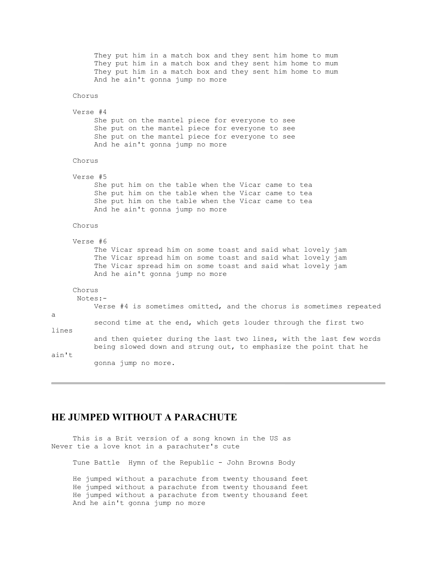They put him in a match box and they sent him home to mum They put him in a match box and they sent him home to mum They put him in a match box and they sent him home to mum And he ain't gonna jump no more Chorus Verse #4 She put on the mantel piece for everyone to see She put on the mantel piece for everyone to see She put on the mantel piece for everyone to see And he ain't gonna jump no more Chorus Verse #5 She put him on the table when the Vicar came to tea She put him on the table when the Vicar came to tea She put him on the table when the Vicar came to tea And he ain't gonna jump no more Chorus Verse #6 The Vicar spread him on some toast and said what lovely jam The Vicar spread him on some toast and said what lovely jam The Vicar spread him on some toast and said what lovely jam And he ain't gonna jump no more Chorus Notes:- Verse #4 is sometimes omitted, and the chorus is sometimes repeated second time at the end, which gets louder through the first two lines and then quieter during the last two lines, with the last few words being slowed down and strung out, to emphasize the point that he ain't gonna jump no more.

#### **HE JUMPED WITHOUT A PARACHUTE**

a

 This is a Brit version of a song known in the US as Never tie a love knot in a parachuter's cute

Tune Battle Hymn of the Republic - John Browns Body

 He jumped without a parachute from twenty thousand feet He jumped without a parachute from twenty thousand feet He jumped without a parachute from twenty thousand feet And he ain't gonna jump no more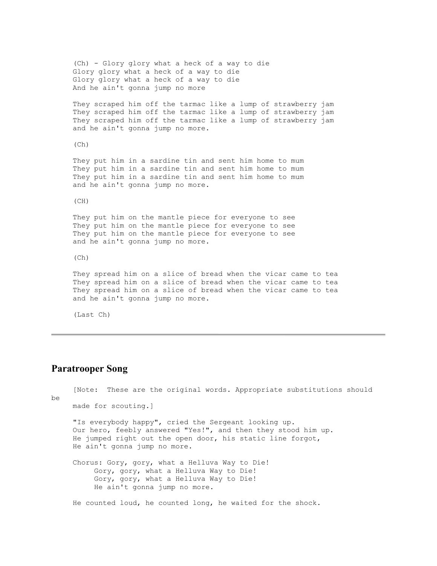(Ch) - Glory glory what a heck of a way to die Glory glory what a heck of a way to die Glory glory what a heck of a way to die And he ain't gonna jump no more They scraped him off the tarmac like a lump of strawberry jam They scraped him off the tarmac like a lump of strawberry jam They scraped him off the tarmac like a lump of strawberry jam and he ain't gonna jump no more. (Ch) They put him in a sardine tin and sent him home to mum They put him in a sardine tin and sent him home to mum They put him in a sardine tin and sent him home to mum and he ain't gonna jump no more.  $(CH)$  They put him on the mantle piece for everyone to see They put him on the mantle piece for everyone to see They put him on the mantle piece for everyone to see and he ain't gonna jump no more.  $(Ch)$  They spread him on a slice of bread when the vicar came to tea They spread him on a slice of bread when the vicar came to tea They spread him on a slice of bread when the vicar came to tea and he ain't gonna jump no more. (Last Ch)

#### **Paratrooper Song**

 [Note: These are the original words. Appropriate substitutions should be made for scouting.] "Is everybody happy", cried the Sergeant looking up. Our hero, feebly answered "Yes!", and then they stood him up. He jumped right out the open door, his static line forgot, He ain't gonna jump no more. Chorus: Gory, gory, what a Helluva Way to Die! Gory, gory, what a Helluva Way to Die! Gory, gory, what a Helluva Way to Die! He ain't gonna jump no more. He counted loud, he counted long, he waited for the shock.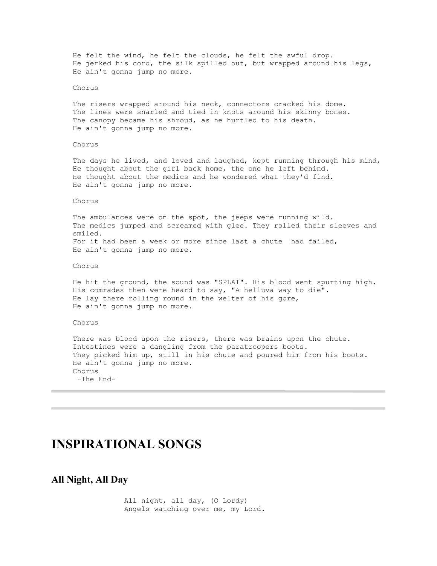He felt the wind, he felt the clouds, he felt the awful drop. He jerked his cord, the silk spilled out, but wrapped around his legs, He ain't gonna jump no more.

#### Chorus

The risers wrapped around his neck, connectors cracked his dome. The lines were snarled and tied in knots around his skinny bones. The canopy became his shroud, as he hurtled to his death. He ain't gonna jump no more.

#### Chorus

 The days he lived, and loved and laughed, kept running through his mind, He thought about the girl back home, the one he left behind. He thought about the medics and he wondered what they'd find. He ain't gonna jump no more.

#### Chorus

The ambulances were on the spot, the jeeps were running wild. The medics jumped and screamed with glee. They rolled their sleeves and smiled. For it had been a week or more since last a chute had failed, He ain't gonna jump no more.

#### Chorus

 He hit the ground, the sound was "SPLAT". His blood went spurting high. His comrades then were heard to say, "A helluva way to die". He lay there rolling round in the welter of his gore, He ain't gonna jump no more.

#### Chorus

There was blood upon the risers, there was brains upon the chute. Intestines were a dangling from the paratroopers boots. They picked him up, still in his chute and poured him from his boots. He ain't gonna jump no more. Chorus -The End-

### **INSPIRATIONAL SONGS**

**All Night, All Day** 

 All night, all day, (O Lordy) Angels watching over me, my Lord.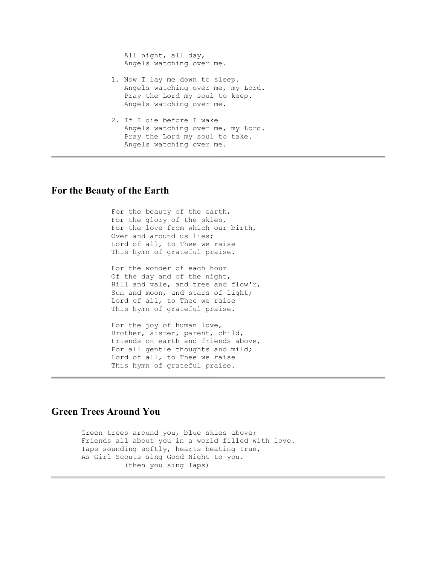All night, all day, Angels watching over me.

- 1. Now I lay me down to sleep. Angels watching over me, my Lord. Pray the Lord my soul to keep. Angels watching over me.
- 2. If I die before I wake Angels watching over me, my Lord. Pray the Lord my soul to take. Angels watching over me.

#### **For the Beauty of the Earth**

 For the beauty of the earth, For the glory of the skies, For the love from which our birth, Over and around us lies; Lord of all, to Thee we raise This hymn of grateful praise.

 For the wonder of each hour Of the day and of the night, Hill and vale, and tree and flow'r, Sun and moon, and stars of light; Lord of all, to Thee we raise This hymn of grateful praise.

 For the joy of human love, Brother, sister, parent, child, Friends on earth and friends above, For all gentle thoughts and mild; Lord of all, to Thee we raise This hymn of grateful praise.

### **Green Trees Around You**

 Green trees around you, blue skies above; Friends all about you in a world filled with love. Taps sounding softly, hearts beating true, As Girl Scouts sing Good Night to you. (then you sing Taps)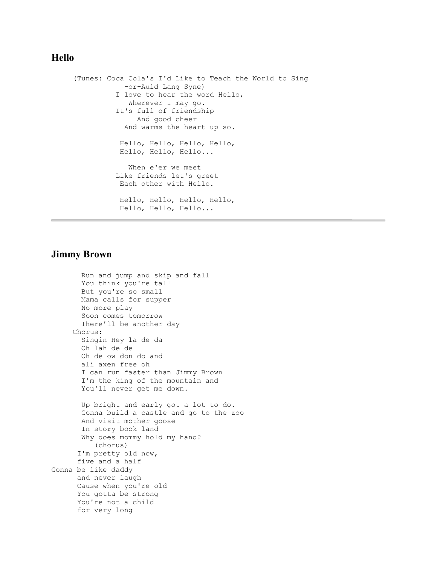#### **Hello**

```
 (Tunes: Coca Cola's I'd Like to Teach the World to Sing 
             -or-Auld Lang Syne) 
           I love to hear the word Hello, 
              Wherever I may go. 
           It's full of friendship 
                And good cheer 
             And warms the heart up so. 
            Hello, Hello, Hello, Hello, 
            Hello, Hello, Hello... 
              When e'er we meet 
           Like friends let's greet 
            Each other with Hello. 
            Hello, Hello, Hello, Hello, 
            Hello, Hello, Hello...
```
#### **Jimmy Brown**

```
 Run and jump and skip and fall 
        You think you're tall 
        But you're so small 
        Mama calls for supper 
        No more play 
        Soon comes tomorrow 
        There'll be another day 
      Chorus: 
        Singin Hey la de da 
        Oh lah de de 
        Oh de ow don do and 
        ali axen free oh 
        I can run faster than Jimmy Brown 
        I'm the king of the mountain and 
        You'll never get me down. 
        Up bright and early got a lot to do. 
        Gonna build a castle and go to the zoo 
        And visit mother goose 
        In story book land 
        Why does mommy hold my hand? 
            (chorus) 
       I'm pretty old now, 
       five and a half 
Gonna be like daddy 
       and never laugh 
       Cause when you're old 
       You gotta be strong 
       You're not a child 
       for very long
```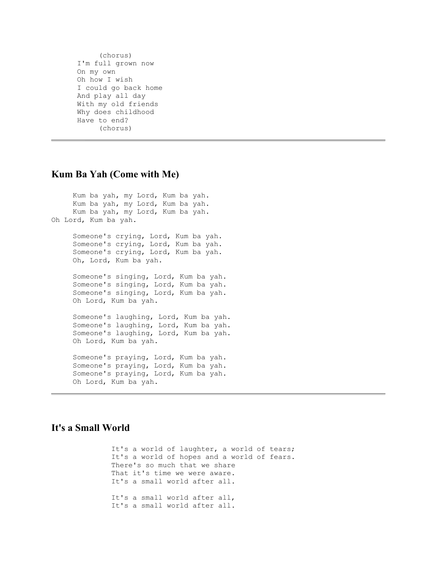```
 (chorus) 
 I'm full grown now 
 On my own 
 Oh how I wish 
 I could go back home 
 And play all day 
 With my old friends 
 Why does childhood 
 Have to end? 
       (chorus)
```
#### **Kum Ba Yah (Come with Me)**

 Kum ba yah, my Lord, Kum ba yah. Kum ba yah, my Lord, Kum ba yah. Kum ba yah, my Lord, Kum ba yah. Oh Lord, Kum ba yah.

> Someone's crying, Lord, Kum ba yah. Someone's crying, Lord, Kum ba yah. Someone's crying, Lord, Kum ba yah. Oh, Lord, Kum ba yah.

 Someone's singing, Lord, Kum ba yah. Someone's singing, Lord, Kum ba yah. Someone's singing, Lord, Kum ba yah. Oh Lord, Kum ba yah.

 Someone's laughing, Lord, Kum ba yah. Someone's laughing, Lord, Kum ba yah. Someone's laughing, Lord, Kum ba yah. Oh Lord, Kum ba yah.

 Someone's praying, Lord, Kum ba yah. Someone's praying, Lord, Kum ba yah. Someone's praying, Lord, Kum ba yah. Oh Lord, Kum ba yah.

#### **It's a Small World**

It's a world of laughter, a world of tears; It's a world of hopes and a world of fears. There's so much that we share That it's time we were aware. It's a small world after all. It's a small world after all, It's a small world after all.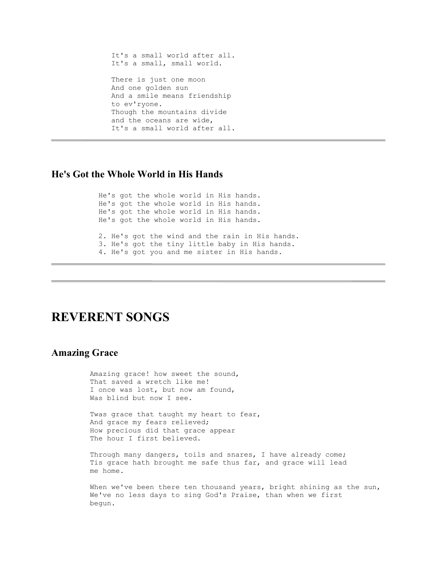It's a small world after all. It's a small, small world. There is just one moon And one golden sun And a smile means friendship to ev'ryone. Though the mountains divide and the oceans are wide, It's a small world after all.

#### **He's Got the Whole World in His Hands**

 He's got the whole world in His hands. He's got the whole world in His hands. He's got the whole world in His hands. He's got the whole world in His hands. 2. He's got the wind and the rain in His hands. 3. He's got the tiny little baby in His hands. 4. He's got you and me sister in His hands.

# **REVERENT SONGS**

#### **Amazing Grace**

 Amazing grace! how sweet the sound, That saved a wretch like me! I once was lost, but now am found, Was blind but now I see.

 Twas grace that taught my heart to fear, And grace my fears relieved; How precious did that grace appear The hour I first believed.

Through many dangers, toils and snares, I have already come; Tis grace hath brought me safe thus far, and grace will lead me home.

When we've been there ten thousand years, bright shining as the sun, We've no less days to sing God's Praise, than when we first begun.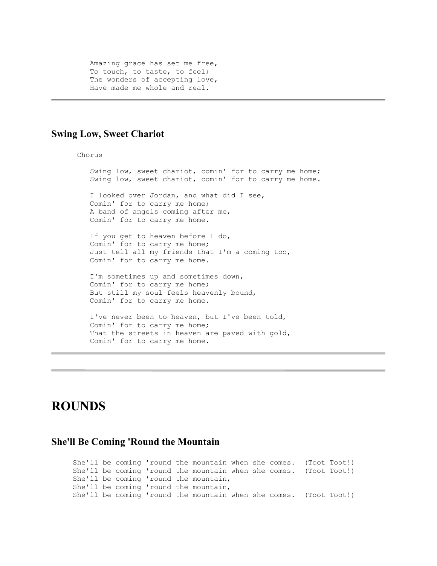```
 Amazing grace has set me free, 
 To touch, to taste, to feel; 
The wonders of accepting love,
 Have made me whole and real.
```
#### **Swing Low, Sweet Chariot**

Chorus

Swing low, sweet chariot, comin' for to carry me home; Swing low, sweet chariot, comin' for to carry me home. I looked over Jordan, and what did I see, Comin' for to carry me home; A band of angels coming after me, Comin' for to carry me home. If you get to heaven before I do, Comin' for to carry me home; Just tell all my friends that I'm a coming too, Comin' for to carry me home. I'm sometimes up and sometimes down, Comin' for to carry me home; But still my soul feels heavenly bound, Comin' for to carry me home. I've never been to heaven, but I've been told, Comin' for to carry me home; That the streets in heaven are paved with gold,

# **ROUNDS**

#### **She'll Be Coming 'Round the Mountain**

Comin' for to carry me home.

 She'll be coming 'round the mountain when she comes. (Toot Toot!) She'll be coming 'round the mountain when she comes. (Toot Toot!) She'll be coming 'round the mountain, She'll be coming 'round the mountain, She'll be coming 'round the mountain when she comes. (Toot Toot!)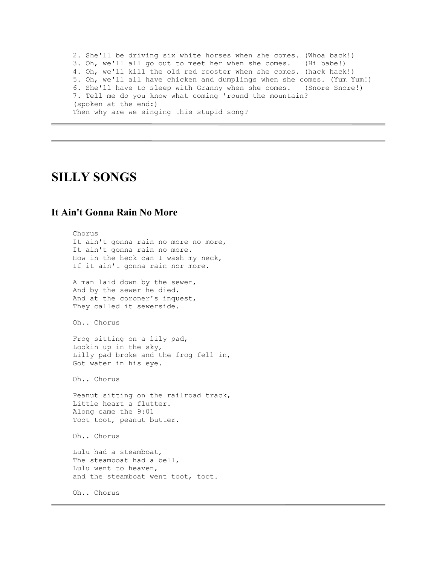```
 2. She'll be driving six white horses when she comes. (Whoa back!) 
 3. Oh, we'll all go out to meet her when she comes. (Hi babe!) 
 4. Oh, we'll kill the old red rooster when she comes. (hack hack!) 
     5. Oh, we'll all have chicken and dumplings when she comes. (Yum Yum!) 
     6. She'll have to sleep with Granny when she comes. (Snore Snore!) 
     7. Tell me do you know what coming 'round the mountain? 
     (spoken at the end:) 
     Then why are we singing this stupid song?
```
### **SILLY SONGS**

#### **It Ain't Gonna Rain No More**

 Chorus It ain't gonna rain no more no more, It ain't gonna rain no more. How in the heck can I wash my neck, If it ain't gonna rain nor more. A man laid down by the sewer, And by the sewer he died. And at the coroner's inquest, They called it sewerside. Oh.. Chorus Frog sitting on a lily pad, Lookin up in the sky, Lilly pad broke and the frog fell in, Got water in his eye. Oh.. Chorus Peanut sitting on the railroad track, Little heart a flutter. Along came the 9:01 Toot toot, peanut butter. Oh.. Chorus Lulu had a steamboat, The steamboat had a bell, Lulu went to heaven, and the steamboat went toot, toot. Oh.. Chorus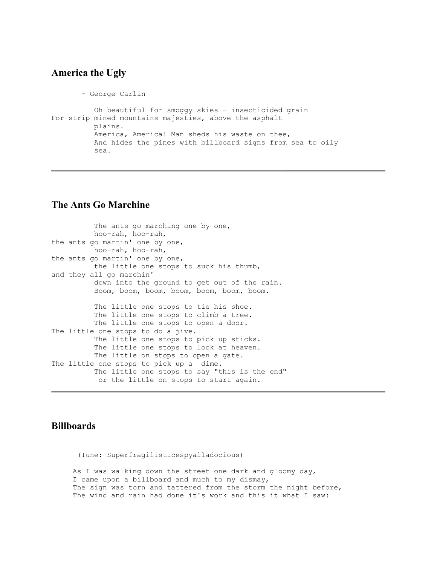#### **America the Ugly**

- George Carlin

```
Oh beautiful for smoggy skies - insecticided grain
For strip mined mountains majesties, above the asphalt 
           plains. 
           America, America! Man sheds his waste on thee, 
           And hides the pines with billboard signs from sea to oily 
           sea.
```
#### **The Ants Go Marchine**

```
The ants go marching one by one,
           hoo-rah, hoo-rah, 
the ants go martin' one by one, 
           hoo-rah, hoo-rah, 
the ants go martin' one by one, 
           the little one stops to suck his thumb, 
and they all go marchin' 
           down into the ground to get out of the rain. 
           Boom, boom, boom, boom, boom, boom, boom. 
           The little one stops to tie his shoe. 
           The little one stops to climb a tree. 
          The little one stops to open a door.
The little one stops to do a jive. 
           The little one stops to pick up sticks. 
           The little one stops to look at heaven. 
          The little on stops to open a gate.
The little one stops to pick up a dime.
           The little one stops to say "this is the end" 
            or the little on stops to start again.
```
#### **Billboards**

(Tune: Superfragilisticespyalladocious)

 As I was walking down the street one dark and gloomy day, I came upon a billboard and much to my dismay, The sign was torn and tattered from the storm the night before, The wind and rain had done it's work and this it what I saw: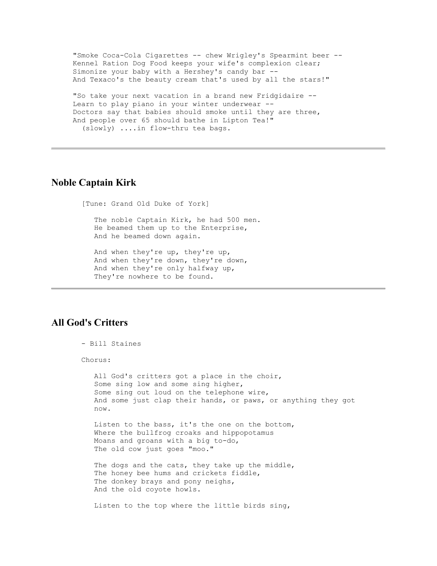"Smoke Coca-Cola Cigarettes -- chew Wrigley's Spearmint beer -- Kennel Ration Dog Food keeps your wife's complexion clear; Simonize your baby with a Hershey's candy bar -- And Texaco's the beauty cream that's used by all the stars!" "So take your next vacation in a brand new Fridgidaire -- Learn to play piano in your winter underwear -- Doctors say that babies should smoke until they are three, And people over 65 should bathe in Lipton Tea!" (slowly) ....in flow-thru tea bags.

#### **Noble Captain Kirk**

[Tune: Grand Old Duke of York]

 The noble Captain Kirk, he had 500 men. He beamed them up to the Enterprise, And he beamed down again.

 And when they're up, they're up, And when they're down, they're down, And when they're only halfway up, They're nowhere to be found.

#### **All God's Critters**

- Bill Staines

Chorus:

 All God's critters got a place in the choir, Some sing low and some sing higher, Some sing out loud on the telephone wire, And some just clap their hands, or paws, or anything they got now.

 Listen to the bass, it's the one on the bottom, Where the bullfrog croaks and hippopotamus Moans and groans with a big to-do, The old cow just goes "moo."

The dogs and the cats, they take up the middle, The honey bee hums and crickets fiddle, The donkey brays and pony neighs, And the old coyote howls.

Listen to the top where the little birds sing,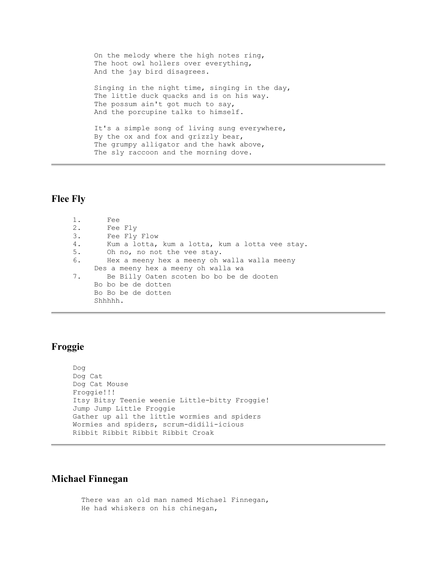On the melody where the high notes ring, The hoot owl hollers over everything, And the jay bird disagrees.

 Singing in the night time, singing in the day, The little duck quacks and is on his way. The possum ain't got much to say, And the porcupine talks to himself.

 It's a simple song of living sung everywhere, By the ox and fox and grizzly bear, The grumpy alligator and the hawk above, The sly raccoon and the morning dove.

#### **Flee Fly**

 1. Fee 2. Fee Fly 3. Fee Fly Flow 4. Kum a lotta, kum a lotta, kum a lotta vee stay.<br>5. Oh no, no not the vee stay. Oh no, no not the vee stay. 6. Hex a meeny hex a meeny oh walla walla meeny Des a meeny hex a meeny oh walla wa 7. Be Billy Oaten scoten bo bo be de dooten Bo bo be de dotten Bo Bo be de dotten Shhhhh.

#### **Froggie**

```
 Dog 
 Dog Cat 
 Dog Cat Mouse 
 Froggie!!! 
 Itsy Bitsy Teenie weenie Little-bitty Froggie! 
 Jump Jump Little Froggie 
 Gather up all the little wormies and spiders 
 Wormies and spiders, scrum-didili-icious 
 Ribbit Ribbit Ribbit Ribbit Croak
```
#### **Michael Finnegan**

 There was an old man named Michael Finnegan, He had whiskers on his chinegan,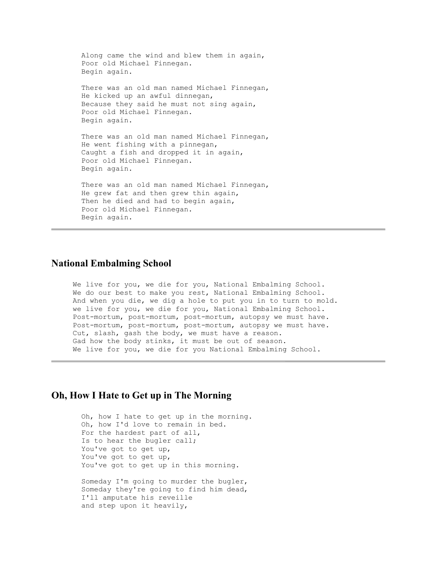Along came the wind and blew them in again, Poor old Michael Finnegan. Begin again.

 There was an old man named Michael Finnegan, He kicked up an awful dinnegan, Because they said he must not sing again, Poor old Michael Finnegan. Begin again.

 There was an old man named Michael Finnegan, He went fishing with a pinnegan, Caught a fish and dropped it in again, Poor old Michael Finnegan. Begin again.

 There was an old man named Michael Finnegan, He grew fat and then grew thin again, Then he died and had to begin again, Poor old Michael Finnegan. Begin again.

#### **National Embalming School**

 We live for you, we die for you, National Embalming School. We do our best to make you rest, National Embalming School. And when you die, we dig a hole to put you in to turn to mold. we live for you, we die for you, National Embalming School. Post-mortum, post-mortum, post-mortum, autopsy we must have. Post-mortum, post-mortum, post-mortum, autopsy we must have. Cut, slash, gash the body, we must have a reason. Gad how the body stinks, it must be out of season. We live for you, we die for you National Embalming School.

#### **Oh, How I Hate to Get up in The Morning**

 I'll amputate his reveille and step upon it heavily,

 Oh, how I hate to get up in the morning. Oh, how I'd love to remain in bed. For the hardest part of all, Is to hear the bugler call; You've got to get up, You've got to get up, You've got to get up in this morning. Someday I'm going to murder the bugler, Someday they're going to find him dead,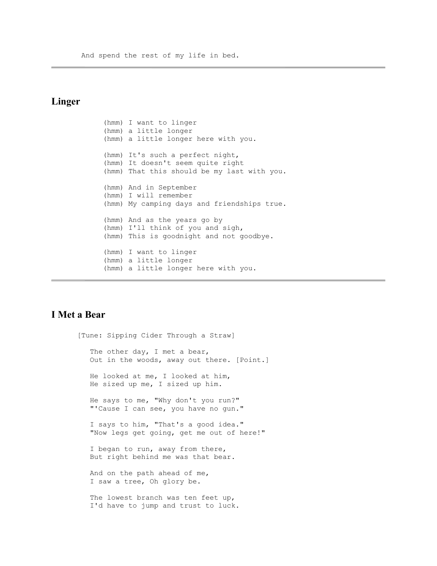And spend the rest of my life in bed.

### **Linger**

```
 (hmm) I want to linger 
 (hmm) a little longer 
 (hmm) a little longer here with you. 
 (hmm) It's such a perfect night, 
 (hmm) It doesn't seem quite right 
 (hmm) That this should be my last with you. 
 (hmm) And in September 
 (hmm) I will remember 
 (hmm) My camping days and friendships true. 
 (hmm) And as the years go by 
 (hmm) I'll think of you and sigh, 
 (hmm) This is goodnight and not goodbye. 
 (hmm) I want to linger 
 (hmm) a little longer 
 (hmm) a little longer here with you.
```
#### **I Met a Bear**

 [Tune: Sipping Cider Through a Straw] The other day, I met a bear, Out in the woods, away out there. [Point.] He looked at me, I looked at him, He sized up me, I sized up him. He says to me, "Why don't you run?" "'Cause I can see, you have no gun." I says to him, "That's a good idea." "Now legs get going, get me out of here!" I began to run, away from there, But right behind me was that bear. And on the path ahead of me, I saw a tree, Oh glory be. The lowest branch was ten feet up, I'd have to jump and trust to luck.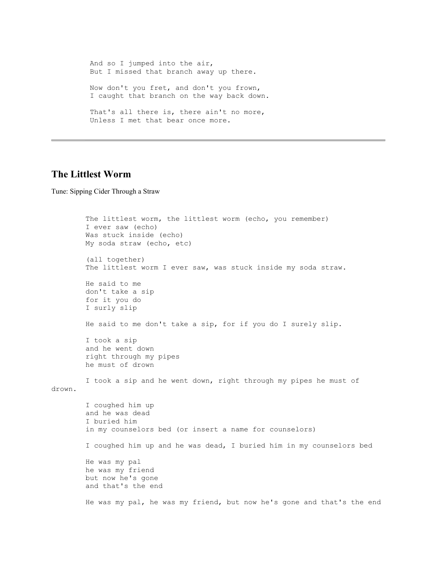```
 And so I jumped into the air, 
 But I missed that branch away up there. 
 Now don't you fret, and don't you frown, 
 I caught that branch on the way back down. 
That's all there is, there ain't no more,
 Unless I met that bear once more.
```
#### **The Littlest Worm**

drown.

Tune: Sipping Cider Through a Straw

```
 The littlest worm, the littlest worm (echo, you remember) 
 I ever saw (echo) 
 Was stuck inside (echo) 
 My soda straw (echo, etc) 
 (all together) 
 The littlest worm I ever saw, was stuck inside my soda straw. 
 He said to me 
 don't take a sip 
 for it you do 
 I surly slip 
 He said to me don't take a sip, for if you do I surely slip. 
 I took a sip 
 and he went down 
 right through my pipes 
 he must of drown 
 I took a sip and he went down, right through my pipes he must of 
 I coughed him up 
 and he was dead 
 I buried him 
 in my counselors bed (or insert a name for counselors) 
 I coughed him up and he was dead, I buried him in my counselors bed 
 He was my pal 
 he was my friend 
 but now he's gone 
 and that's the end 
 He was my pal, he was my friend, but now he's gone and that's the end
```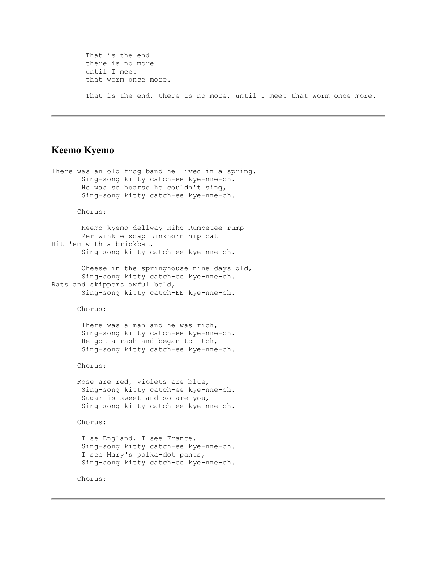That is the end there is no more until I meet that worm once more. That is the end, there is no more, until I meet that worm once more.

### **Keemo Kyemo**

There was an old frog band he lived in a spring, Sing-song kitty catch-ee kye-nne-oh. He was so hoarse he couldn't sing, Sing-song kitty catch-ee kye-nne-oh. Chorus: Keemo kyemo dellway Hiho Rumpetee rump Periwinkle soap Linkhorn nip cat Hit 'em with a brickbat, Sing-song kitty catch-ee kye-nne-oh. Cheese in the springhouse nine days old, Sing-song kitty catch-ee kye-nne-oh. Rats and skippers awful bold, Sing-song kitty catch-EE kye-nne-oh. Chorus: There was a man and he was rich, Sing-song kitty catch-ee kye-nne-oh. He got a rash and began to itch, Sing-song kitty catch-ee kye-nne-oh. Chorus: Rose are red, violets are blue, Sing-song kitty catch-ee kye-nne-oh. Sugar is sweet and so are you, Sing-song kitty catch-ee kye-nne-oh. Chorus: I se England, I see France, Sing-song kitty catch-ee kye-nne-oh. I see Mary's polka-dot pants, Sing-song kitty catch-ee kye-nne-oh.

Chorus: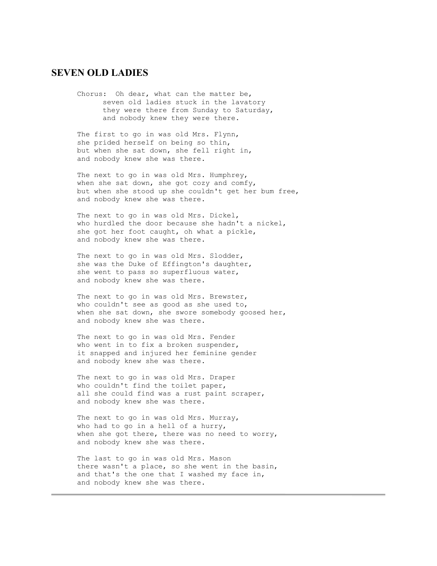#### **SEVEN OLD LADIES**

 Chorus: Oh dear, what can the matter be, seven old ladies stuck in the lavatory they were there from Sunday to Saturday, and nobody knew they were there.

The first to go in was old Mrs. Flynn, she prided herself on being so thin, but when she sat down, she fell right in, and nobody knew she was there.

The next to go in was old Mrs. Humphrey, when she sat down, she got cozy and comfy, but when she stood up she couldn't get her bum free, and nobody knew she was there.

The next to go in was old Mrs. Dickel, who hurdled the door because she hadn't a nickel, she got her foot caught, oh what a pickle, and nobody knew she was there.

The next to go in was old Mrs. Slodder, she was the Duke of Effington's daughter, she went to pass so superfluous water, and nobody knew she was there.

The next to go in was old Mrs. Brewster, who couldn't see as good as she used to, when she sat down, she swore somebody goosed her, and nobody knew she was there.

The next to go in was old Mrs. Fender who went in to fix a broken suspender, it snapped and injured her feminine gender and nobody knew she was there.

 The next to go in was old Mrs. Draper who couldn't find the toilet paper, all she could find was a rust paint scraper, and nobody knew she was there.

The next to go in was old Mrs. Murray, who had to go in a hell of a hurry, when she got there, there was no need to worry, and nobody knew she was there.

 The last to go in was old Mrs. Mason there wasn't a place, so she went in the basin, and that's the one that I washed my face in, and nobody knew she was there.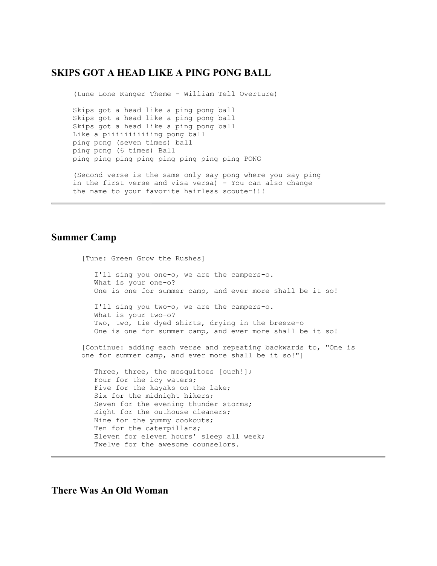#### **SKIPS GOT A HEAD LIKE A PING PONG BALL**

the name to your favorite hairless scouter!!!

 (tune Lone Ranger Theme - William Tell Overture) Skips got a head like a ping pong ball Skips got a head like a ping pong ball Skips got a head like a ping pong ball Like a piiiiiiiiiiing pong ball ping pong (seven times) ball ping pong (6 times) Ball ping ping ping ping ping ping ping ping PONG (Second verse is the same only say pong where you say ping in the first verse and visa versa) - You can also change

#### **Summer Camp**

 [Tune: Green Grow the Rushes] I'll sing you one-o, we are the campers-o. What is your one-o? One is one for summer camp, and ever more shall be it so! I'll sing you two-o, we are the campers-o. What is your two-o? Two, two, tie dyed shirts, drying in the breeze-o One is one for summer camp, and ever more shall be it so! [Continue: adding each verse and repeating backwards to, "One is one for summer camp, and ever more shall be it so!"] Three, three, the mosquitoes [ouch!]; Four for the icy waters; Five for the kayaks on the lake; Six for the midnight hikers; Seven for the evening thunder storms; Eight for the outhouse cleaners; Nine for the yummy cookouts; Ten for the caterpillars; Eleven for eleven hours' sleep all week; Twelve for the awesome counselors.

#### **There Was An Old Woman**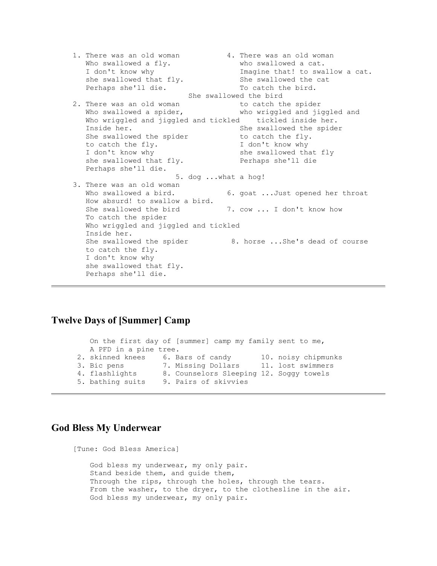```
 1. There was an old woman 4. There was an old woman 
Who swallowed a fly. who swallowed a cat.
       I don't know why<br>she swallowed that fly. The swallowed the cat she swallowed the cat
       she swallowed that fly.
       Perhaps she'll die. To catch the bird.
                              She swallowed the bird 
2. There was an old woman to catch the spider
Who swallowed a spider, who wriggled and jiggled and
       Who wriggled and jiggled and tickled tickled inside her.<br>Inside her. She swallowed the spide
                                      She swallowed the spider<br>to catch the fly.<br>I don't know why
She swallowed the spider to catch the fly.
to catch the fly. The interest of the state of the state of the state of the state of the state of the state o
I don't know why she swallowed that fly
       she swallowed that fly. Perhaps she'll die
        Perhaps she'll die. 
                             5. dog ...what a hog! 
     3. There was an old woman 
       Who swallowed a bird. 6. goat ...Just opened her throat
        How absurd! to swallow a bird. 
       She swallowed the bird 7. cow ... I don't know how
        To catch the spider 
        Who wriggled and jiggled and tickled 
        Inside her. 
       She swallowed the spider 8. horse ...She's dead of course
        to catch the fly. 
        I don't know why 
        she swallowed that fly. 
        Perhaps she'll die.
```
#### **Twelve Days of [Summer] Camp**

 On the first day of [summer] camp my family sent to me, A PFD in a pine tree. 2. skinned knees 6. Bars of candy 10. noisy chipmunks 3. Bic pens 7. Missing Dollars 11. lost swimmers 4. flashlights 8. Counselors Sleeping 12. Soggy towels 5. bathing suits 9. Pairs of skivvies

#### **God Bless My Underwear**

```
 [Tune: God Bless America] 
    God bless my underwear, my only pair. 
    Stand beside them, and guide them, 
   Through the rips, through the holes, through the tears.
    From the washer, to the dryer, to the clothesline in the air. 
    God bless my underwear, my only pair.
```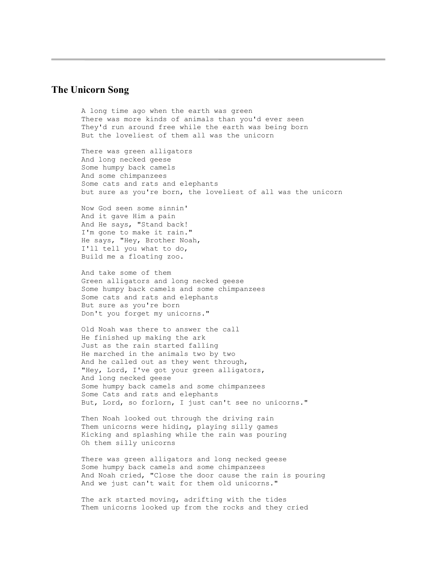#### **The Unicorn Song**

 A long time ago when the earth was green There was more kinds of animals than you'd ever seen They'd run around free while the earth was being born But the loveliest of them all was the unicorn

 There was green alligators And long necked geese Some humpy back camels And some chimpanzees Some cats and rats and elephants but sure as you're born, the loveliest of all was the unicorn

 Now God seen some sinnin' And it gave Him a pain And He says, "Stand back! I'm gone to make it rain." He says, "Hey, Brother Noah, I'll tell you what to do, Build me a floating zoo.

 And take some of them Green alligators and long necked geese Some humpy back camels and some chimpanzees Some cats and rats and elephants But sure as you're born Don't you forget my unicorns."

 Old Noah was there to answer the call He finished up making the ark Just as the rain started falling He marched in the animals two by two And he called out as they went through, "Hey, Lord, I've got your green alligators, And long necked geese Some humpy back camels and some chimpanzees Some Cats and rats and elephants But, Lord, so forlorn, I just can't see no unicorns."

 Then Noah looked out through the driving rain Them unicorns were hiding, playing silly games Kicking and splashing while the rain was pouring Oh them silly unicorns

 There was green alligators and long necked geese Some humpy back camels and some chimpanzees And Noah cried, "Close the door cause the rain is pouring And we just can't wait for them old unicorns."

 The ark started moving, adrifting with the tides Them unicorns looked up from the rocks and they cried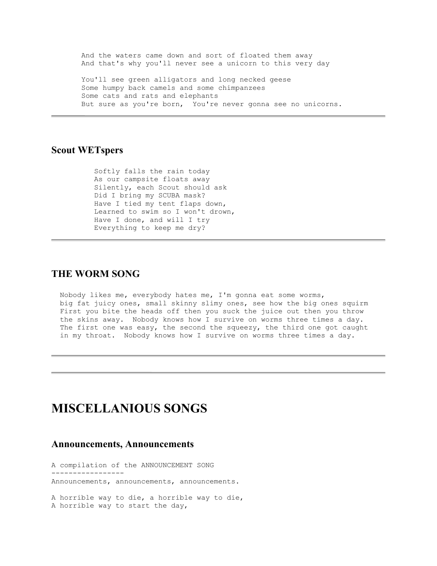And the waters came down and sort of floated them away And that's why you'll never see a unicorn to this very day You'll see green alligators and long necked geese Some humpy back camels and some chimpanzees Some cats and rats and elephants But sure as you're born, You're never gonna see no unicorns.

#### **Scout WETspers**

 Softly falls the rain today As our campsite floats away Silently, each Scout should ask Did I bring my SCUBA mask? Have I tied my tent flaps down, Learned to swim so I won't drown, Have I done, and will I try Everything to keep me dry?

#### **THE WORM SONG**

 Nobody likes me, everybody hates me, I'm gonna eat some worms, big fat juicy ones, small skinny slimy ones, see how the big ones squirm First you bite the heads off then you suck the juice out then you throw the skins away. Nobody knows how I survive on worms three times a day. The first one was easy, the second the squeezy, the third one got caught in my throat. Nobody knows how I survive on worms three times a day.

# **MISCELLANIOUS SONGS**

#### **Announcements, Announcements**

A compilation of the ANNOUNCEMENT SONG ----------------- Announcements, announcements, announcements.

A horrible way to die, a horrible way to die, A horrible way to start the day,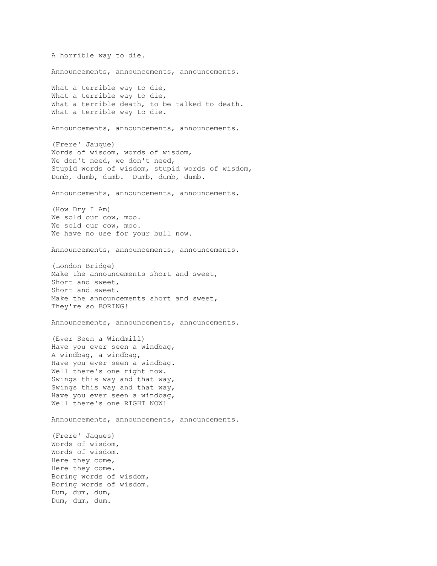A horrible way to die. Announcements, announcements, announcements. What a terrible way to die, What a terrible way to die, What a terrible death, to be talked to death. What a terrible way to die. Announcements, announcements, announcements. (Frere' Jauque) Words of wisdom, words of wisdom, We don't need, we don't need, Stupid words of wisdom, stupid words of wisdom, Dumb, dumb, dumb. Dumb, dumb, dumb. Announcements, announcements, announcements. (How Dry I Am) We sold our cow, moo. We sold our cow, moo. We have no use for your bull now. Announcements, announcements, announcements. (London Bridge) Make the announcements short and sweet, Short and sweet, Short and sweet. Make the announcements short and sweet, They're so BORING! Announcements, announcements, announcements. (Ever Seen a Windmill) Have you ever seen a windbag, A windbag, a windbag, Have you ever seen a windbag. Well there's one right now. Swings this way and that way, Swings this way and that way, Have you ever seen a windbag, Well there's one RIGHT NOW! Announcements, announcements, announcements. (Frere' Jaques) Words of wisdom, Words of wisdom. Here they come, Here they come. Boring words of wisdom, Boring words of wisdom. Dum, dum, dum, Dum, dum, dum.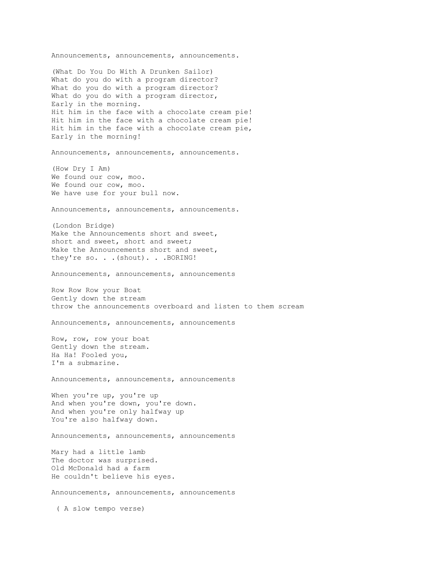Announcements, announcements, announcements. (What Do You Do With A Drunken Sailor) What do you do with a program director? What do you do with a program director? What do you do with a program director, Early in the morning. Hit him in the face with a chocolate cream pie! Hit him in the face with a chocolate cream pie! Hit him in the face with a chocolate cream pie, Early in the morning! Announcements, announcements, announcements. (How Dry I Am) We found our cow, moo. We found our cow, moo. We have use for your bull now. Announcements, announcements, announcements. (London Bridge) Make the Announcements short and sweet, short and sweet, short and sweet; Make the Announcements short and sweet, they're so. . .(shout). . .BORING! Announcements, announcements, announcements Row Row Row your Boat Gently down the stream throw the announcements overboard and listen to them scream Announcements, announcements, announcements Row, row, row your boat Gently down the stream. Ha Ha! Fooled you, I'm a submarine. Announcements, announcements, announcements When you're up, you're up And when you're down, you're down. And when you're only halfway up You're also halfway down. Announcements, announcements, announcements Mary had a little lamb The doctor was surprised. Old McDonald had a farm He couldn't believe his eyes. Announcements, announcements, announcements ( A slow tempo verse)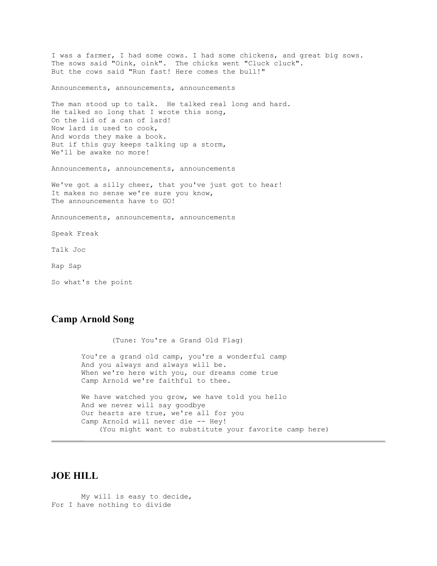I was a farmer, I had some cows. I had some chickens, and great big sows. The sows said "Oink, oink". The chicks went "Cluck cluck". But the cows said "Run fast! Here comes the bull!" Announcements, announcements, announcements The man stood up to talk. He talked real long and hard. He talked so long that I wrote this song, On the lid of a can of lard! Now lard is used to cook, And words they make a book. But if this guy keeps talking up a storm, We'll be awake no more! Announcements, announcements, announcements We've got a silly cheer, that you've just got to hear! It makes no sense we're sure you know, The announcements have to GO! Announcements, announcements, announcements Speak Freak Talk Joc Rap Sap So what's the point

#### **Camp Arnold Song**

 (Tune: You're a Grand Old Flag) You're a grand old camp, you're a wonderful camp And you always and always will be. When we're here with you, our dreams come true Camp Arnold we're faithful to thee. We have watched you grow, we have told you hello And we never will say goodbye Our hearts are true, we're all for you Camp Arnold will never die -- Hey! (You might want to substitute your favorite camp here)

### **JOE HILL**

 My will is easy to decide, For I have nothing to divide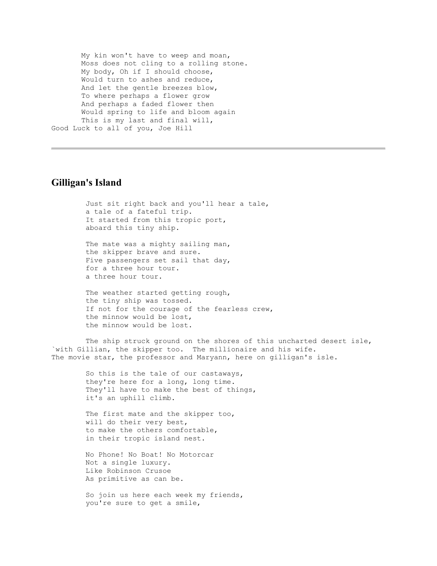My kin won't have to weep and moan, Moss does not cling to a rolling stone. My body, Oh if I should choose, Would turn to ashes and reduce, And let the gentle breezes blow, To where perhaps a flower grow And perhaps a faded flower then Would spring to life and bloom again This is my last and final will, Good Luck to all of you, Joe Hill

#### **Gilligan's Island**

 Just sit right back and you'll hear a tale, a tale of a fateful trip. It started from this tropic port, aboard this tiny ship.

The mate was a mighty sailing man, the skipper brave and sure. Five passengers set sail that day, for a three hour tour. a three hour tour.

 The weather started getting rough, the tiny ship was tossed. If not for the courage of the fearless crew, the minnow would be lost, the minnow would be lost.

 The ship struck ground on the shores of this uncharted desert isle, `with Gillian, the skipper too. The millionaire and his wife. The movie star, the professor and Maryann, here on gilligan's isle.

> So this is the tale of our castaways, they're here for a long, long time. They'll have to make the best of things, it's an uphill climb.

The first mate and the skipper too, will do their very best, to make the others comfortable, in their tropic island nest.

 No Phone! No Boat! No Motorcar Not a single luxury. Like Robinson Crusoe As primitive as can be.

 So join us here each week my friends, you're sure to get a smile,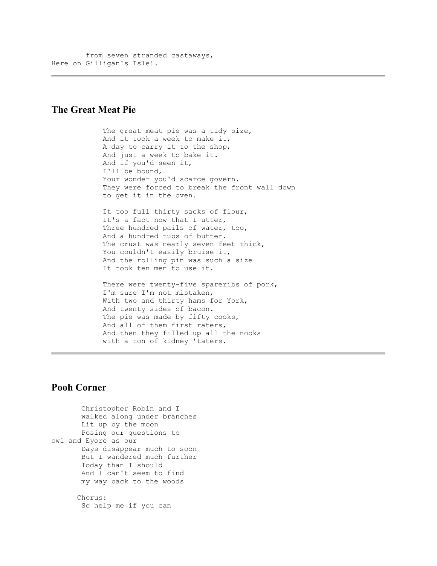### **The Great Meat Pie**

The great meat pie was a tidy size, And it took a week to make it, A day to carry it to the shop, And just a week to bake it. And if you'd seen it, I'll be bound, Your wonder you'd scarce govern. They were forced to break the front wall down to get it in the oven.

 It too full thirty sacks of flour, It's a fact now that I utter, Three hundred pails of water, too, And a hundred tubs of butter. The crust was nearly seven feet thick, You couldn't easily bruise it, And the rolling pin was such a size It took ten men to use it.

 There were twenty-five spareribs of pork, I'm sure I'm not mistaken, With two and thirty hams for York, And twenty sides of bacon. The pie was made by fifty cooks, And all of them first raters, And then they filled up all the nooks with a ton of kidney 'taters.

#### **Pooh Corner**

 Christopher Robin and I walked along under branches Lit up by the moon Posing our questions to owl and Eyore as our Days disappear much to soon But I wandered much further Today than I should And I can't seem to find my way back to the woods Chorus: So help me if you can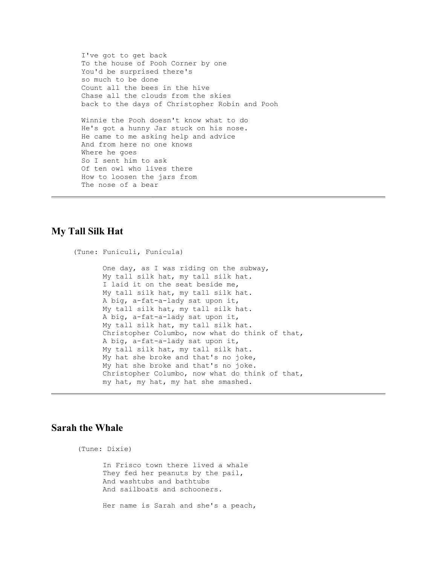I've got to get back To the house of Pooh Corner by one You'd be surprised there's so much to be done Count all the bees in the hive Chase all the clouds from the skies back to the days of Christopher Robin and Pooh Winnie the Pooh doesn't know what to do He's got a hunny Jar stuck on his nose. He came to me asking help and advice And from here no one knows Where he goes So I sent him to ask Of ten owl who lives there How to loosen the jars from The nose of a bear

#### **My Tall Silk Hat**

 (Tune: Funiculi, Funicula) One day, as I was riding on the subway, My tall silk hat, my tall silk hat. I laid it on the seat beside me, My tall silk hat, my tall silk hat. A big, a-fat-a-lady sat upon it, My tall silk hat, my tall silk hat. A big, a-fat-a-lady sat upon it, My tall silk hat, my tall silk hat. Christopher Columbo, now what do think of that, A big, a-fat-a-lady sat upon it, My tall silk hat, my tall silk hat. My hat she broke and that's no joke, My hat she broke and that's no joke. Christopher Columbo, now what do think of that, my hat, my hat, my hat she smashed.

#### **Sarah the Whale**

(Tune: Dixie)

 In Frisco town there lived a whale They fed her peanuts by the pail, And washtubs and bathtubs And sailboats and schooners.

Her name is Sarah and she's a peach,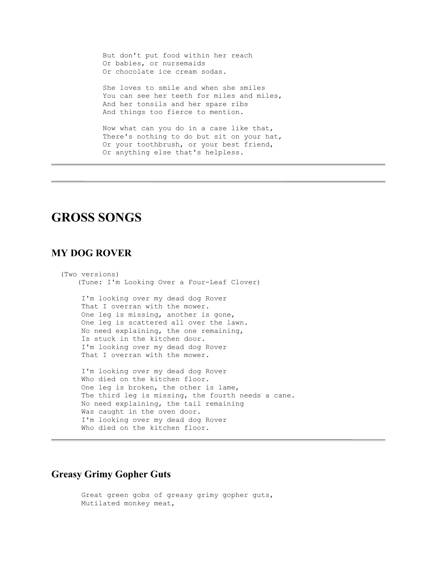But don't put food within her reach Or babies, or nursemaids Or chocolate ice cream sodas.

 She loves to smile and when she smiles You can see her teeth for miles and miles, And her tonsils and her spare ribs And things too fierce to mention.

 Now what can you do in a case like that, There's nothing to do but sit on your hat, Or your toothbrush, or your best friend, Or anything else that's helpless.

# **GROSS SONGS**

#### **MY DOG ROVER**

 (Two versions) (Tune: I'm Looking Over a Four-Leaf Clover) I'm looking over my dead dog Rover That I overran with the mower. One leg is missing, another is gone, One leg is scattered all over the lawn. No need explaining, the one remaining, Is stuck in the kitchen door. I'm looking over my dead dog Rover That I overran with the mower. I'm looking over my dead dog Rover Who died on the kitchen floor. One leg is broken, the other is lame,

The third leg is missing, the fourth needs a cane. No need explaining, the tail remaining Was caught in the oven door. I'm looking over my dead dog Rover Who died on the kitchen floor.

#### **Greasy Grimy Gopher Guts**

 Great green gobs of greasy grimy gopher guts, Mutilated monkey meat,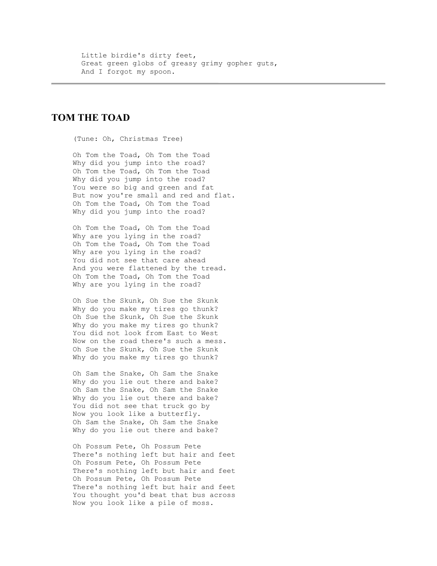```
 Little birdie's dirty feet, 
 Great green globs of greasy grimy gopher guts, 
 And I forgot my spoon.
```
### **TOM THE TOAD**

(Tune: Oh, Christmas Tree)

 Oh Tom the Toad, Oh Tom the Toad Why did you jump into the road? Oh Tom the Toad, Oh Tom the Toad Why did you jump into the road? You were so big and green and fat But now you're small and red and flat. Oh Tom the Toad, Oh Tom the Toad Why did you jump into the road?

 Oh Tom the Toad, Oh Tom the Toad Why are you lying in the road? Oh Tom the Toad, Oh Tom the Toad Why are you lying in the road? You did not see that care ahead And you were flattened by the tread. Oh Tom the Toad, Oh Tom the Toad Why are you lying in the road?

 Oh Sue the Skunk, Oh Sue the Skunk Why do you make my tires go thunk? Oh Sue the Skunk, Oh Sue the Skunk Why do you make my tires go thunk? You did not look from East to West Now on the road there's such a mess. Oh Sue the Skunk, Oh Sue the Skunk Why do you make my tires go thunk?

 Oh Sam the Snake, Oh Sam the Snake Why do you lie out there and bake? Oh Sam the Snake, Oh Sam the Snake Why do you lie out there and bake? You did not see that truck go by Now you look like a butterfly. Oh Sam the Snake, Oh Sam the Snake Why do you lie out there and bake?

 Oh Possum Pete, Oh Possum Pete There's nothing left but hair and feet Oh Possum Pete, Oh Possum Pete There's nothing left but hair and feet Oh Possum Pete, Oh Possum Pete There's nothing left but hair and feet You thought you'd beat that bus across Now you look like a pile of moss.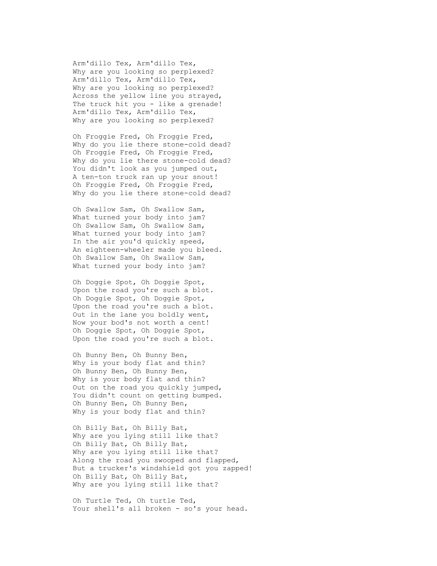Arm'dillo Tex, Arm'dillo Tex, Why are you looking so perplexed? Arm'dillo Tex, Arm'dillo Tex, Why are you looking so perplexed? Across the yellow line you strayed, The truck hit you - like a grenade! Arm'dillo Tex, Arm'dillo Tex, Why are you looking so perplexed?

 Oh Froggie Fred, Oh Froggie Fred, Why do you lie there stone-cold dead? Oh Froggie Fred, Oh Froggie Fred, Why do you lie there stone-cold dead? You didn't look as you jumped out, A ten-ton truck ran up your snout! Oh Froggie Fred, Oh Froggie Fred, Why do you lie there stone-cold dead?

 Oh Swallow Sam, Oh Swallow Sam, What turned your body into jam? Oh Swallow Sam, Oh Swallow Sam, What turned your body into jam? In the air you'd quickly speed, An eighteen-wheeler made you bleed. Oh Swallow Sam, Oh Swallow Sam, What turned your body into jam?

 Oh Doggie Spot, Oh Doggie Spot, Upon the road you're such a blot. Oh Doggie Spot, Oh Doggie Spot, Upon the road you're such a blot. Out in the lane you boldly went, Now your bod's not worth a cent! Oh Doggie Spot, Oh Doggie Spot, Upon the road you're such a blot.

 Oh Bunny Ben, Oh Bunny Ben, Why is your body flat and thin? Oh Bunny Ben, Oh Bunny Ben, Why is your body flat and thin? Out on the road you quickly jumped, You didn't count on getting bumped. Oh Bunny Ben, Oh Bunny Ben, Why is your body flat and thin?

 Oh Billy Bat, Oh Billy Bat, Why are you lying still like that? Oh Billy Bat, Oh Billy Bat, Why are you lying still like that? Along the road you swooped and flapped, But a trucker's windshield got you zapped! Oh Billy Bat, Oh Billy Bat, Why are you lying still like that?

 Oh Turtle Ted, Oh turtle Ted, Your shell's all broken - so's your head.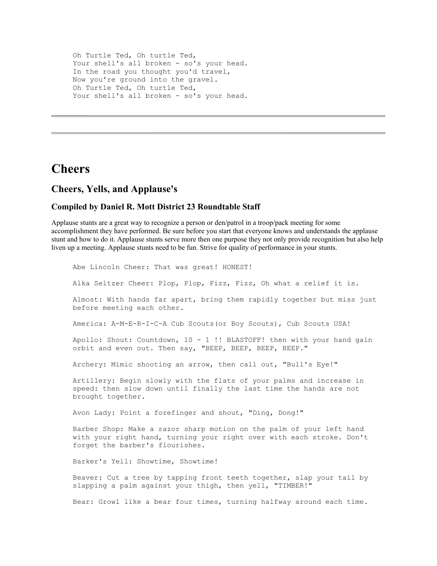```
 Oh Turtle Ted, Oh turtle Ted, 
Your shell's all broken - so's your head.
 In the road you thought you'd travel, 
 Now you're ground into the gravel. 
 Oh Turtle Ted, Oh turtle Ted, 
Your shell's all broken - so's your head.
```
## **Cheers**

#### **Cheers, Yells, and Applause's**

#### **Compiled by Daniel R. Mott District 23 Roundtable Staff**

Applause stunts are a great way to recognize a person or den/patrol in a troop/pack meeting for some accomplishment they have performed. Be sure before you start that everyone knows and understands the applause stunt and how to do it. Applause stunts serve more then one purpose they not only provide recognition but also help liven up a meeting. Applause stunts need to be fun. Strive for quality of performance in your stunts.

Abe Lincoln Cheer: That was great! HONEST! Alka Seltzer Cheer: Plop, Plop, Fizz, Fizz, Oh what a relief it is. Almost: With hands far apart, bring them rapidly together but miss just before meeting each other. America: A-M-E-R-I-C-A Cub Scouts(or Boy Scouts), Cub Scouts USA! Apollo: Shout: Countdown, 10 - 1 !! BLASTOFF! then with your hand gain orbit and even out. Then say, "BEEP, BEEP, BEEP, BEEP." Archery: Mimic shooting an arrow, then call out, "Bull's Eye!" Artillery: Begin slowly with the flats of your palms and increase in speed: then slow down until finally the last time the hands are not brought together. Avon Lady: Point a forefinger and shout, "Ding, Dong!" Barber Shop: Make a razor sharp motion on the palm of your left hand with your right hand, turning your right over with each stroke. Don't forget the barber's flourishes. Barker's Yell: Showtime, Showtime! Beaver: Cut a tree by tapping front teeth together, slap your tail by slapping a palm against your thigh, then yell, "TIMBER!" Bear: Growl like a bear four times, turning halfway around each time.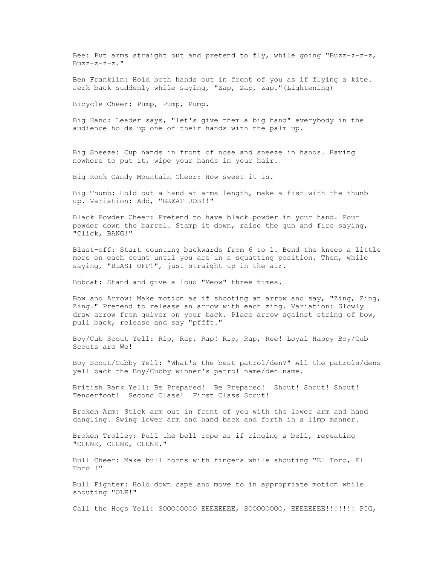Bee: Put arms straight out and pretend to fly, while going "Buzz-z-z-z, Buzz-z-z-z."

 Ben Franklin: Hold both hands out in front of you as if flying a kite. Jerk back suddenly while saying, "Zap, Zap, Zap."(Lightening)

Bicycle Cheer: Pump, Pump, Pump.

 Big Hand: Leader says, "let's give them a big hand" everybody in the audience holds up one of their hands with the palm up.

 Big Sneeze: Cup hands in front of nose and sneeze in hands. Having nowhere to put it, wipe your hands in your hair.

Big Rock Candy Mountain Cheer: How sweet it is.

 Big Thumb: Hold out a hand at arms length, make a fist with the thunb up. Variation: Add, "GREAT JOB!!"

 Black Powder Cheer: Pretend to have black powder in your hand. Pour powder down the barrel. Stamp it down, raise the gun and fire saying, "Click, BANG!"

 Blast-off: Start counting backwards from 6 to 1. Bend the knees a little more on each count until you are in a squatting position. Then, while saying, "BLAST OFF!", just straight up in the air.

Bobcat: Stand and give a loud "Meow" three times.

 Bow and Arrow: Make motion as if shooting an arrow and say, "Zing, Zing, Zing." Pretend to release an arrow with each zing. Variation: Slowly draw arrow from quiver on your back. Place arrow against string of bow, pull back, release and say "pffft."

 Boy/Cub Scout Yell: Rip, Rap, Rap! Rip, Rap, Ree! Loyal Happy Boy/Cub Scouts are We!

 Boy Scout/Cubby Yell: "What's the best patrol/den?" All the patrols/dens yell back the Boy/Cubby winner's patrol name/den name.

 British Rank Yell: Be Prepared! Be Prepared! Shout! Shout! Shout! Tenderfoot! Second Class! First Class Scout!

 Broken Arm: Stick arm out in front of you with the lower arm and hand dangling. Swing lower arm and hand back and forth in a limp manner.

 Broken Trolley: Pull the bell rope as if ringing a bell, repeating "CLUNK, CLUNK, CLUNK."

 Bull Cheer: Make bull horns with fingers while shouting "El Toro, El Toro !"

 Bull Fighter: Hold down cape and move to in appropriate motion while shouting "OLE!"

Call the Hogs Yell: SOOOOOOOO EEEEEEEE, SOOOOOOOO, EEEEEEEE!!!!!!!! PIG,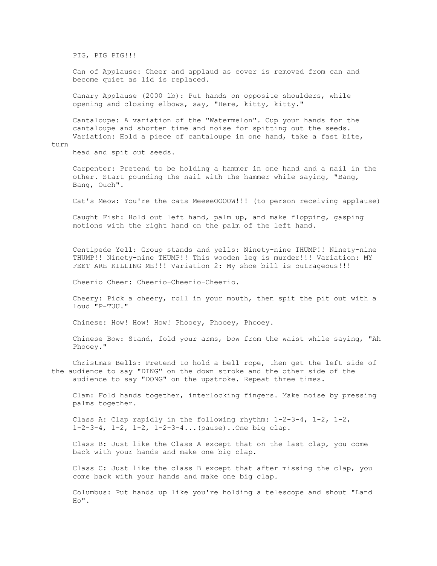PIG, PIG PIG!!!

 Can of Applause: Cheer and applaud as cover is removed from can and become quiet as lid is replaced.

 Canary Applause (2000 lb): Put hands on opposite shoulders, while opening and closing elbows, say, "Here, kitty, kitty."

 Cantaloupe: A variation of the "Watermelon". Cup your hands for the cantaloupe and shorten time and noise for spitting out the seeds. Variation: Hold a piece of cantaloupe in one hand, take a fast bite,

turn

head and spit out seeds.

 Carpenter: Pretend to be holding a hammer in one hand and a nail in the other. Start pounding the nail with the hammer while saying, "Bang, Bang, Ouch".

Cat's Meow: You're the cats MeeeeOOOOW!!! (to person receiving applause)

 Caught Fish: Hold out left hand, palm up, and make flopping, gasping motions with the right hand on the palm of the left hand.

 Centipede Yell: Group stands and yells: Ninety-nine THUMP!! Ninety-nine THUMP!! Ninety-nine THUMP!! This wooden leg is murder!!! Variation: MY FEET ARE KILLING ME!!! Variation 2: My shoe bill is outrageous!!!

Cheerio Cheer: Cheerio-Cheerio-Cheerio.

 Cheery: Pick a cheery, roll in your mouth, then spit the pit out with a loud "P-TUU."

Chinese: How! How! How! Phooey, Phooey, Phooey.

 Chinese Bow: Stand, fold your arms, bow from the waist while saying, "Ah Phooey."

 Christmas Bells: Pretend to hold a bell rope, then get the left side of the audience to say "DING" on the down stroke and the other side of the audience to say "DONG" on the upstroke. Repeat three times.

 Clam: Fold hands together, interlocking fingers. Make noise by pressing palms together.

 Class A: Clap rapidly in the following rhythm: 1-2-3-4, 1-2, 1-2, 1-2-3-4, 1-2, 1-2, 1-2-3-4...(pause)..One big clap.

 Class B: Just like the Class A except that on the last clap, you come back with your hands and make one big clap.

 Class C: Just like the class B except that after missing the clap, you come back with your hands and make one big clap.

 Columbus: Put hands up like you're holding a telescope and shout "Land Ho".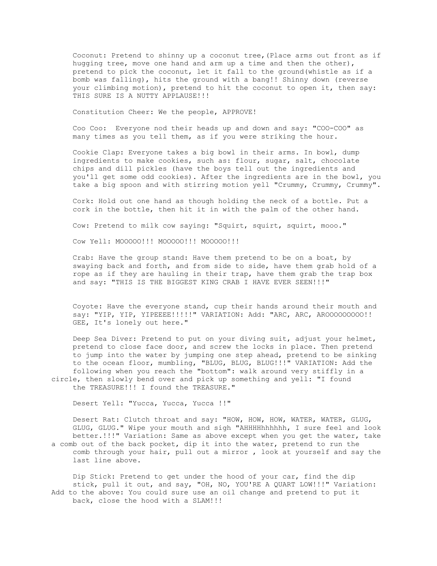Coconut: Pretend to shinny up a coconut tree,(Place arms out front as if hugging tree, move one hand and arm up a time and then the other), pretend to pick the coconut, let it fall to the ground(whistle as if a bomb was falling), hits the ground with a bang!! Shinny down (reverse your climbing motion), pretend to hit the coconut to open it, then say: THIS SURE IS A NUTTY APPLAUSE!!!

Constitution Cheer: We the people, APPROVE!

 Coo Coo: Everyone nod their heads up and down and say: "COO-COO" as many times as you tell them, as if you were striking the hour.

 Cookie Clap: Everyone takes a big bowl in their arms. In bowl, dump ingredients to make cookies, such as: flour, sugar, salt, chocolate chips and dill pickles (have the boys tell out the ingredients and you'll get some odd cookies). After the ingredients are in the bowl, you take a big spoon and with stirring motion yell "Crummy, Crummy, Crummy".

 Cork: Hold out one hand as though holding the neck of a bottle. Put a cork in the bottle, then hit it in with the palm of the other hand.

Cow: Pretend to milk cow saying: "Squirt, squirt, squirt, mooo."

Cow Yell: M00000!!! M00000!!! M00000!!!

 Crab: Have the group stand: Have them pretend to be on a boat, by swaying back and forth, and from side to side, have them grab hold of a rope as if they are hauling in their trap, have them grab the trap box and say: "THIS IS THE BIGGEST KING CRAB I HAVE EVER SEEN!!!"

 Coyote: Have the everyone stand, cup their hands around their mouth and say: "YIP, YIP, YIPEEEE!!!!!" VARIATION: Add: "ARC, ARC, AROOOOOOOOO!! GEE, It's lonely out here."

 Deep Sea Diver: Pretend to put on your diving suit, adjust your helmet, pretend to close face door, and screw the locks in place. Then pretend to jump into the water by jumping one step ahead, pretend to be sinking to the ocean floor, mumbling, "BLUG, BLUG, BLUG!!!" VARIATION: Add the following when you reach the "bottom": walk around very stiffly in a circle, then slowly bend over and pick up something and yell: "I found the TREASURE!!! I found the TREASURE."

Desert Yell: "Yucca, Yucca, Yucca !!"

 Desert Rat: Clutch throat and say: "HOW, HOW, HOW, WATER, WATER, GLUG, GLUG, GLUG." Wipe your mouth and sigh "AHHHHhhhhhh, I sure feel and look better.!!!" Variation: Same as above except when you get the water, take a comb out of the back pocket, dip it into the water, pretend to run the

 comb through your hair, pull out a mirror , look at yourself and say the last line above.

 Dip Stick: Pretend to get under the hood of your car, find the dip stick, pull it out, and say, "OH, NO, YOU'RE A QUART LOW!!!" Variation: Add to the above: You could sure use an oil change and pretend to put it back, close the hood with a SLAM!!!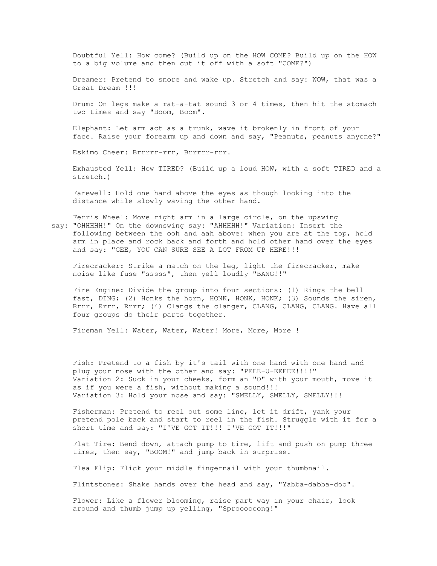Doubtful Yell: How come? (Build up on the HOW COME? Build up on the HOW to a big volume and then cut it off with a soft "COME?")

 Dreamer: Pretend to snore and wake up. Stretch and say: WOW, that was a Great Dream !!!

 Drum: On legs make a rat-a-tat sound 3 or 4 times, then hit the stomach two times and say "Boom, Boom".

 Elephant: Let arm act as a trunk, wave it brokenly in front of your face. Raise your forearm up and down and say, "Peanuts, peanuts anyone?"

Eskimo Cheer: Brrrrr-rrr, Brrrrr-rrr.

 Exhausted Yell: How TIRED? (Build up a loud HOW, with a soft TIRED and a stretch.)

 Farewell: Hold one hand above the eyes as though looking into the distance while slowly waving the other hand.

 Ferris Wheel: Move right arm in a large circle, on the upswing say: "OHHHHH!" On the downswing say: "AHHHHH!" Variation: Insert the following between the ooh and aah above: when you are at the top, hold arm in place and rock back and forth and hold other hand over the eyes and say: "GEE, YOU CAN SURE SEE A LOT FROM UP HERE!!!

 Firecracker: Strike a match on the leg, light the firecracker, make noise like fuse "sssss", then yell loudly "BANG!!"

 Fire Engine: Divide the group into four sections: (1) Rings the bell fast, DING; (2) Honks the horn, HONK, HONK, HONK; (3) Sounds the siren, Rrrr, Rrrr, Rrrr; (4) Clangs the clanger, CLANG, CLANG, CLANG. Have all four groups do their parts together.

Fireman Yell: Water, Water, Water! More, More, More !

 Fish: Pretend to a fish by it's tail with one hand with one hand and plug your nose with the other and say: "PEEE-U-EEEEE!!!!" Variation 2: Suck in your cheeks, form an "O" with your mouth, move it as if you were a fish, without making a sound!!! Variation 3: Hold your nose and say: "SMELLY, SMELLY, SMELLY!!!

 Fisherman: Pretend to reel out some line, let it drift, yank your pretend pole back and start to reel in the fish. Struggle with it for a short time and say: "I'VE GOT IT!!! I'VE GOT IT!!!!"

 Flat Tire: Bend down, attach pump to tire, lift and push on pump three times, then say, "BOOM!" and jump back in surprise.

Flea Flip: Flick your middle fingernail with your thumbnail.

Flintstones: Shake hands over the head and say, "Yabba-dabba-doo".

 Flower: Like a flower blooming, raise part way in your chair, look around and thumb jump up yelling, "Sproooooong!"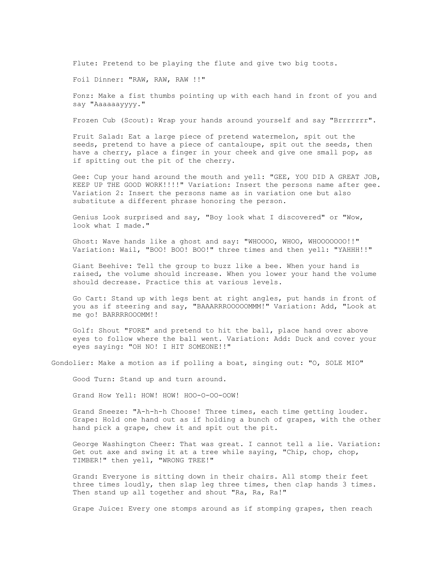Flute: Pretend to be playing the flute and give two big toots.

Foil Dinner: "RAW, RAW, RAW !!"

 Fonz: Make a fist thumbs pointing up with each hand in front of you and say "Aaaaaayyyy."

Frozen Cub (Scout): Wrap your hands around yourself and say "Brrrrrrr".

 Fruit Salad: Eat a large piece of pretend watermelon, spit out the seeds, pretend to have a piece of cantaloupe, spit out the seeds, then have a cherry, place a finger in your cheek and give one small pop, as if spitting out the pit of the cherry.

 Gee: Cup your hand around the mouth and yell: "GEE, YOU DID A GREAT JOB, KEEP UP THE GOOD WORK!!!!" Variation: Insert the persons name after gee. Variation 2: Insert the persons name as in variation one but also substitute a different phrase honoring the person.

 Genius Look surprised and say, "Boy look what I discovered" or "Wow, look what I made."

 Ghost: Wave hands like a ghost and say: "WHOOOO, WHOO, WHOOOOOOO!!" Variation: Wail, "BOO! BOO! BOO!" three times and then yell: "YAHHH!!"

 Giant Beehive: Tell the group to buzz like a bee. When your hand is raised, the volume should increase. When you lower your hand the volume should decrease. Practice this at various levels.

 Go Cart: Stand up with legs bent at right angles, put hands in front of you as if steering and say, "BAAARRROOOOOMMM!" Variation: Add, "Look at me go! BARRRROOOMM!!

 Golf: Shout "FORE" and pretend to hit the ball, place hand over above eyes to follow where the ball went. Variation: Add: Duck and cover your eyes saying: "OH NO! I HIT SOMEONE!!"

Gondolier: Make a motion as if polling a boat, singing out: "O, SOLE MIO"

Good Turn: Stand up and turn around.

Grand How Yell: HOW! HOW! HOO-O-OO-OOW!

 Grand Sneeze: "A-h-h-h Choose! Three times, each time getting louder. Grape: Hold one hand out as if holding a bunch of grapes, with the other hand pick a grape, chew it and spit out the pit.

 George Washington Cheer: That was great. I cannot tell a lie. Variation: Get out axe and swing it at a tree while saying, "Chip, chop, chop, TIMBER!" then yell, "WRONG TREE!"

 Grand: Everyone is sitting down in their chairs. All stomp their feet three times loudly, then slap leg three times, then clap hands 3 times. Then stand up all together and shout "Ra, Ra, Ra!"

Grape Juice: Every one stomps around as if stomping grapes, then reach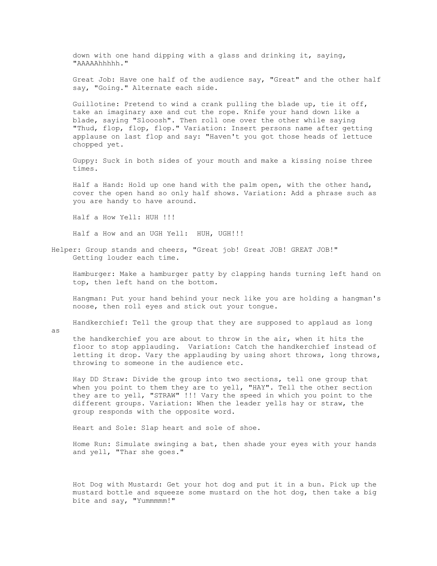down with one hand dipping with a glass and drinking it, saying, "AAAAAhhhhh."

 Great Job: Have one half of the audience say, "Great" and the other half say, "Going." Alternate each side.

 Guillotine: Pretend to wind a crank pulling the blade up, tie it off, take an imaginary axe and cut the rope. Knife your hand down like a blade, saying "Slooosh". Then roll one over the other while saying "Thud, flop, flop, flop." Variation: Insert persons name after getting applause on last flop and say: "Haven't you got those heads of lettuce chopped yet.

 Guppy: Suck in both sides of your mouth and make a kissing noise three times.

 Half a Hand: Hold up one hand with the palm open, with the other hand, cover the open hand so only half shows. Variation: Add a phrase such as you are handy to have around.

Half a How Yell: HUH !!!

Half a How and an UGH Yell: HUH, UGH!!!

Helper: Group stands and cheers, "Great job! Great JOB! GREAT JOB!" Getting louder each time.

 Hamburger: Make a hamburger patty by clapping hands turning left hand on top, then left hand on the bottom.

 Hangman: Put your hand behind your neck like you are holding a hangman's noose, then roll eyes and stick out your tongue.

Handkerchief: Tell the group that they are supposed to applaud as long

as

 the handkerchief you are about to throw in the air, when it hits the floor to stop applauding. Variation: Catch the handkerchief instead of letting it drop. Vary the applauding by using short throws, long throws, throwing to someone in the audience etc.

 Hay DD Straw: Divide the group into two sections, tell one group that when you point to them they are to yell, "HAY". Tell the other section they are to yell, "STRAW" !!! Vary the speed in which you point to the different groups. Variation: When the leader yells hay or straw, the group responds with the opposite word.

Heart and Sole: Slap heart and sole of shoe.

 Home Run: Simulate swinging a bat, then shade your eyes with your hands and yell, "Thar she goes."

 Hot Dog with Mustard: Get your hot dog and put it in a bun. Pick up the mustard bottle and squeeze some mustard on the hot dog, then take a big bite and say, "Yummmmm!"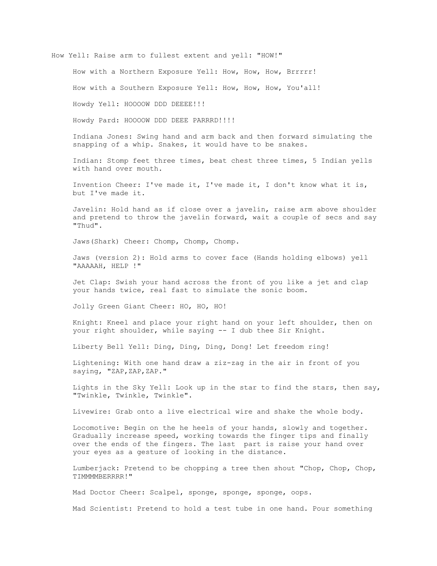How Yell: Raise arm to fullest extent and yell: "HOW!"

How with a Northern Exposure Yell: How, How, How, Brrrrr! How with a Southern Exposure Yell: How, How, How, You'all!

Howdy Yell: HOOOOW DDD DEEEE!!!

Howdy Pard: HOOOOW DDD DEEE PARRRD!!!!

 Indiana Jones: Swing hand and arm back and then forward simulating the snapping of a whip. Snakes, it would have to be snakes.

 Indian: Stomp feet three times, beat chest three times, 5 Indian yells with hand over mouth.

 Invention Cheer: I've made it, I've made it, I don't know what it is, but I've made it.

 Javelin: Hold hand as if close over a javelin, raise arm above shoulder and pretend to throw the javelin forward, wait a couple of secs and say "Thud".

Jaws(Shark) Cheer: Chomp, Chomp, Chomp.

 Jaws (version 2): Hold arms to cover face (Hands holding elbows) yell "AAAAAH, HELP !"

 Jet Clap: Swish your hand across the front of you like a jet and clap your hands twice, real fast to simulate the sonic boom.

Jolly Green Giant Cheer: HO, HO, HO!

 Knight: Kneel and place your right hand on your left shoulder, then on your right shoulder, while saying -- I dub thee Sir Knight.

Liberty Bell Yell: Ding, Ding, Ding, Dong! Let freedom ring!

 Lightening: With one hand draw a ziz-zag in the air in front of you saying, "ZAP, ZAP, ZAP."

 Lights in the Sky Yell: Look up in the star to find the stars, then say, "Twinkle, Twinkle, Twinkle".

Livewire: Grab onto a live electrical wire and shake the whole body.

 Locomotive: Begin on the he heels of your hands, slowly and together. Gradually increase speed, working towards the finger tips and finally over the ends of the fingers. The last part is raise your hand over your eyes as a gesture of looking in the distance.

 Lumberjack: Pretend to be chopping a tree then shout "Chop, Chop, Chop, TIMMMMBERRRR!"

Mad Doctor Cheer: Scalpel, sponge, sponge, sponge, oops.

Mad Scientist: Pretend to hold a test tube in one hand. Pour something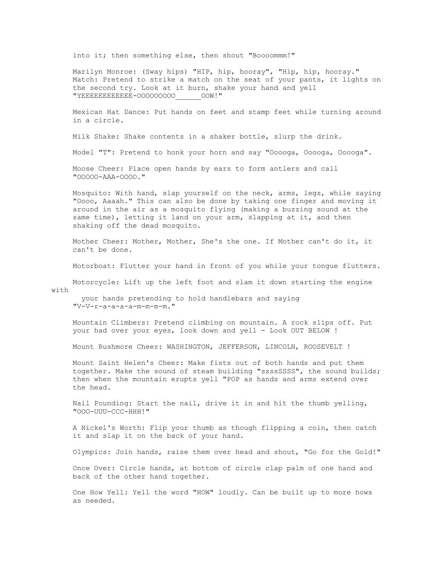into it; then something else, then shout "Boooommm!"

 Marilyn Monroe: (Sway hips) "HIP, hip, hooray", "Hip, hip, hooray." Match: Pretend to strike a match on the seat of your pants, it lights on the second try. Look at it burn, shake your hand and yell "YEEEEEEEEEEEE-OOOOOOOOO\_\_\_\_\_\_OOW!"

 Mexican Hat Dance: Put hands on feet and stamp feet while turning around in a circle.

Milk Shake: Shake contents in a shaker bottle, slurp the drink.

Model "T": Pretend to honk your horn and say "Ooooga, Ooooga, Ooooga".

 Moose Cheer: Place open hands by ears to form antlers and call "OOOOO-AAA-OOOO."

 Mosquito: With hand, slap yourself on the neck, arms, legs, while saying "Oooo, Aaaah." This can also be done by taking one finger and moving it around in the air as a mosquito flying (making a buzzing sound at the same time), letting it land on your arm, slapping at it, and then shaking off the dead mosquito.

 Mother Cheer: Mother, Mother, She's the one. If Mother can't do it, it can't be done.

Motorboat: Flutter your hand in front of you while your tongue flutters.

 Motorcycle: Lift up the left foot and slam it down starting the engine with

 your hands pretending to hold handlebars and saying "V-V-r-a-a-a-a-m-m-m-m."

 Mountain Climbers: Pretend climbing on mountain. A rock slips off. Put your had over your eyes, look down and yell - Look OUT BELOW !

Mount Rushmore Cheer: WASHINGTON, JEFFERSON, LINCOLN, ROOSEVELT !

 Mount Saint Helen's Cheer: Make fists out of both hands and put them together. Make the sound of steam building "ssssSSSS", the sound builds; then when the mountain erupts yell "POP as hands and arms extend over the head.

 Nail Pounding: Start the nail, drive it in and hit the thumb yelling, "OOO-UUU-CCC-HHH!"

 A Nickel's Worth: Flip your thumb as though flipping a coin, then catch it and slap it on the back of your hand.

Olympics: Join hands, raise them over head and shout, "Go for the Gold!"

 Once Over: Circle hands, at bottom of circle clap palm of one hand and back of the other hand together.

 One How Yell: Yell the word "HOW" loudly. Can be built up to more hows as needed.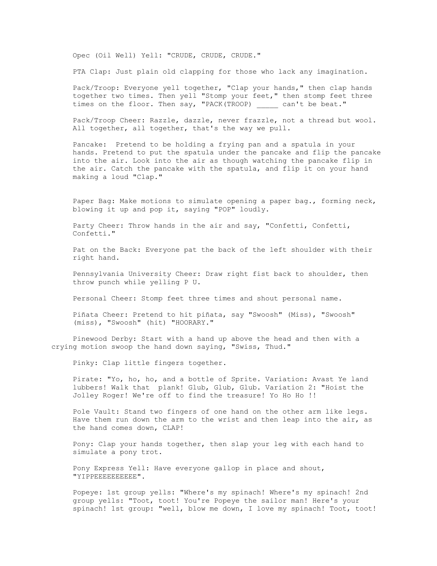Opec (Oil Well) Yell: "CRUDE, CRUDE, CRUDE."

PTA Clap: Just plain old clapping for those who lack any imagination.

 Pack/Troop: Everyone yell together, "Clap your hands," then clap hands together two times. Then yell "Stomp your feet," then stomp feet three times on the floor. Then say, "PACK(TROOP) can't be beat."

 Pack/Troop Cheer: Razzle, dazzle, never frazzle, not a thread but wool. All together, all together, that's the way we pull.

 Pancake: Pretend to be holding a frying pan and a spatula in your hands. Pretend to put the spatula under the pancake and flip the pancake into the air. Look into the air as though watching the pancake flip in the air. Catch the pancake with the spatula, and flip it on your hand making a loud "Clap."

 Paper Bag: Make motions to simulate opening a paper bag., forming neck, blowing it up and pop it, saying "POP" loudly.

Party Cheer: Throw hands in the air and say, "Confetti, Confetti, Confetti."

 Pat on the Back: Everyone pat the back of the left shoulder with their right hand.

 Pennsylvania University Cheer: Draw right fist back to shoulder, then throw punch while yelling P U.

Personal Cheer: Stomp feet three times and shout personal name.

 Piñata Cheer: Pretend to hit piñata, say "Swoosh" (Miss), "Swoosh" (miss), "Swoosh" (hit) "HOORARY."

 Pinewood Derby: Start with a hand up above the head and then with a crying motion swoop the hand down saying, "Swiss, Thud."

Pinky: Clap little fingers together.

 Pirate: "Yo, ho, ho, and a bottle of Sprite. Variation: Avast Ye land lubbers! Walk that plank! Glub, Glub, Glub. Variation 2: "Hoist the Jolley Roger! We're off to find the treasure! Yo Ho Ho !!

 Pole Vault: Stand two fingers of one hand on the other arm like legs. Have them run down the arm to the wrist and then leap into the air, as the hand comes down, CLAP!

 Pony: Clap your hands together, then slap your leg with each hand to simulate a pony trot.

 Pony Express Yell: Have everyone gallop in place and shout, "YIPPEEEEEEEEEE".

 Popeye: 1st group yells: "Where's my spinach! Where's my spinach! 2nd group yells: "Toot, toot! You're Popeye the sailor man! Here's your spinach! 1st group: "well, blow me down, I love my spinach! Toot, toot!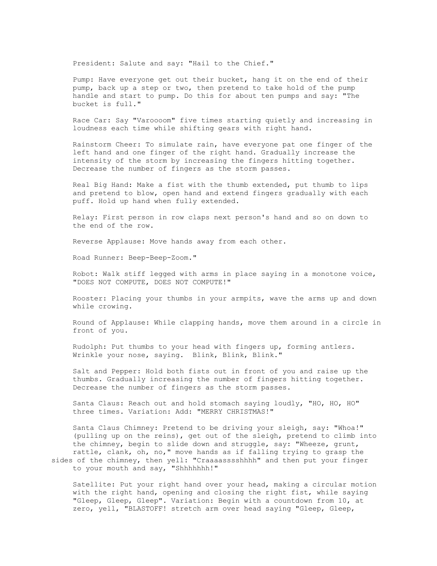President: Salute and say: "Hail to the Chief."

 Pump: Have everyone get out their bucket, hang it on the end of their pump, back up a step or two, then pretend to take hold of the pump handle and start to pump. Do this for about ten pumps and say: "The bucket is full."

 Race Car: Say "Varoooom" five times starting quietly and increasing in loudness each time while shifting gears with right hand.

 Rainstorm Cheer: To simulate rain, have everyone pat one finger of the left hand and one finger of the right hand. Gradually increase the intensity of the storm by increasing the fingers hitting together. Decrease the number of fingers as the storm passes.

 Real Big Hand: Make a fist with the thumb extended, put thumb to lips and pretend to blow, open hand and extend fingers gradually with each puff. Hold up hand when fully extended.

 Relay: First person in row claps next person's hand and so on down to the end of the row.

Reverse Applause: Move hands away from each other.

Road Runner: Beep-Beep-Zoom."

 Robot: Walk stiff legged with arms in place saying in a monotone voice, "DOES NOT COMPUTE, DOES NOT COMPUTE!"

 Rooster: Placing your thumbs in your armpits, wave the arms up and down while crowing.

 Round of Applause: While clapping hands, move them around in a circle in front of you.

 Rudolph: Put thumbs to your head with fingers up, forming antlers. Wrinkle your nose, saying. Blink, Blink, Blink."

 Salt and Pepper: Hold both fists out in front of you and raise up the thumbs. Gradually increasing the number of fingers hitting together. Decrease the number of fingers as the storm passes.

 Santa Claus: Reach out and hold stomach saying loudly, "HO, HO, HO" three times. Variation: Add: "MERRY CHRISTMAS!"

 Santa Claus Chimney: Pretend to be driving your sleigh, say: "Whoa!" (pulling up on the reins), get out of the sleigh, pretend to climb into the chimney, begin to slide down and struggle, say: "Wheeze, grunt, rattle, clank, oh, no," move hands as if falling trying to grasp the sides of the chimney, then yell: "Craaaasssshhhh" and then put your finger to your mouth and say, "Shhhhhhh!"

 Satellite: Put your right hand over your head, making a circular motion with the right hand, opening and closing the right fist, while saying "Gleep, Gleep, Gleep". Variation: Begin with a countdown from 10, at zero, yell, "BLASTOFF! stretch arm over head saying "Gleep, Gleep,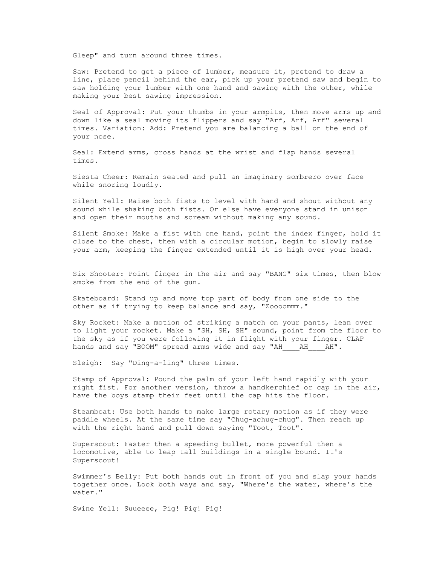Gleep" and turn around three times.

 Saw: Pretend to get a piece of lumber, measure it, pretend to draw a line, place pencil behind the ear, pick up your pretend saw and begin to saw holding your lumber with one hand and sawing with the other, while making your best sawing impression.

 Seal of Approval: Put your thumbs in your armpits, then move arms up and down like a seal moving its flippers and say "Arf, Arf, Arf" several times. Variation: Add: Pretend you are balancing a ball on the end of your nose.

 Seal: Extend arms, cross hands at the wrist and flap hands several times.

 Siesta Cheer: Remain seated and pull an imaginary sombrero over face while snoring loudly.

 Silent Yell: Raise both fists to level with hand and shout without any sound while shaking both fists. Or else have everyone stand in unison and open their mouths and scream without making any sound.

 Silent Smoke: Make a fist with one hand, point the index finger, hold it close to the chest, then with a circular motion, begin to slowly raise your arm, keeping the finger extended until it is high over your head.

 Six Shooter: Point finger in the air and say "BANG" six times, then blow smoke from the end of the gun.

 Skateboard: Stand up and move top part of body from one side to the other as if trying to keep balance and say, "Zoooommm."

 Sky Rocket: Make a motion of striking a match on your pants, lean over to light your rocket. Make a "SH, SH, SH" sound, point from the floor to the sky as if you were following it in flight with your finger. CLAP hands and say "BOOM" spread arms wide and say "AH\_\_\_\_\_AH\_\_\_\_AH".

Sleigh: Say "Ding-a-ling" three times.

 Stamp of Approval: Pound the palm of your left hand rapidly with your right fist. For another version, throw a handkerchief or cap in the air, have the boys stamp their feet until the cap hits the floor.

 Steamboat: Use both hands to make large rotary motion as if they were paddle wheels. At the same time say "Chug-achug-chug". Then reach up with the right hand and pull down saying "Toot, Toot".

 Superscout: Faster then a speeding bullet, more powerful then a locomotive, able to leap tall buildings in a single bound. It's Superscout!

 Swimmer's Belly: Put both hands out in front of you and slap your hands together once. Look both ways and say, "Where's the water, where's the water."

Swine Yell: Suueeee, Pig! Pig! Pig!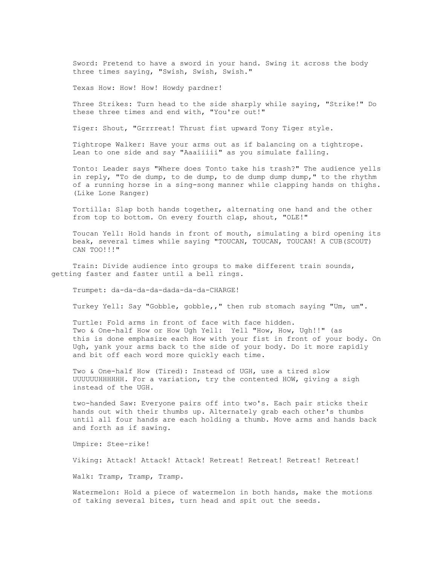Sword: Pretend to have a sword in your hand. Swing it across the body three times saying, "Swish, Swish, Swish."

Texas How: How! How! Howdy pardner!

Three Strikes: Turn head to the side sharply while saying, "Strike!" Do these three times and end with, "You're out!"

Tiger: Shout, "Grrrreat! Thrust fist upward Tony Tiger style.

 Tightrope Walker: Have your arms out as if balancing on a tightrope. Lean to one side and say "Aaaiiiii" as you simulate falling.

 Tonto: Leader says "Where does Tonto take his trash?" The audience yells in reply, "To de dump, to de dump, to de dump dump dump," to the rhythm of a running horse in a sing-song manner while clapping hands on thighs. (Like Lone Ranger)

 Tortilla: Slap both hands together, alternating one hand and the other from top to bottom. On every fourth clap, shout, "OLE!"

 Toucan Yell: Hold hands in front of mouth, simulating a bird opening its beak, several times while saying "TOUCAN, TOUCAN, TOUCAN! A CUB(SCOUT) CAN TOO!!!"

 Train: Divide audience into groups to make different train sounds, getting faster and faster until a bell rings.

Trumpet: da-da-da-da-dada-da-da-CHARGE!

Turkey Yell: Say "Gobble, gobble,," then rub stomach saying "Um, um".

 Turtle: Fold arms in front of face with face hidden. Two & One-half How or How Ugh Yell: Yell "How, How, Ugh!!" (as this is done emphasize each How with your fist in front of your body. On Ugh, yank your arms back to the side of your body. Do it more rapidly and bit off each word more quickly each time.

 Two & One-half How (Tired): Instead of UGH, use a tired slow UUUUUUHHHHHH. For a variation, try the contented HOW, giving a sigh instead of the UGH.

 two-handed Saw: Everyone pairs off into two's. Each pair sticks their hands out with their thumbs up. Alternately grab each other's thumbs until all four hands are each holding a thumb. Move arms and hands back and forth as if sawing.

Umpire: Stee-rike!

Viking: Attack! Attack! Attack! Retreat! Retreat! Retreat! Retreat!

Walk: Tramp, Tramp, Tramp.

 Watermelon: Hold a piece of watermelon in both hands, make the motions of taking several bites, turn head and spit out the seeds.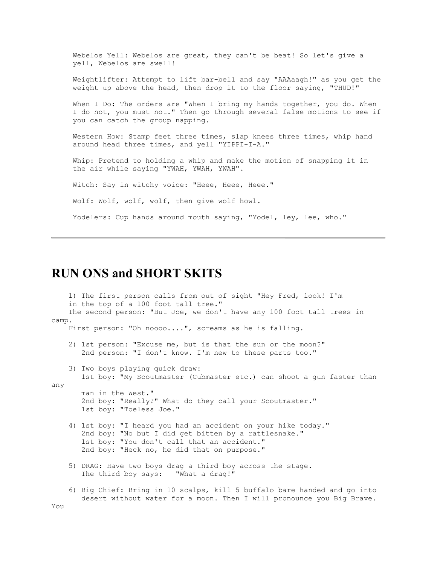Webelos Yell: Webelos are great, they can't be beat! So let's give a yell, Webelos are swell! Weightlifter: Attempt to lift bar-bell and say "AAAaagh!" as you get the weight up above the head, then drop it to the floor saying, "THUD!" When I Do: The orders are "When I bring my hands together, you do. When I do not, you must not." Then go through several false motions to see if you can catch the group napping. Western How: Stamp feet three times, slap knees three times, whip hand around head three times, and yell "YIPPI-I-A." Whip: Pretend to holding a whip and make the motion of snapping it in the air while saying "YWAH, YWAH, YWAH". Witch: Say in witchy voice: "Heee, Heee, Heee." Wolf: Wolf, wolf, wolf, then give wolf howl. Yodelers: Cup hands around mouth saying, "Yodel, ley, lee, who."

## **RUN ONS and SHORT SKITS**

1) The first person calls from out of sight "Hey Fred, look! I'm

in the top of a 100 foot tall tree."

 The second person: "But Joe, we don't have any 100 foot tall trees in camp.

First person: "Oh noooo....", screams as he is falling.

- 2) 1st person: "Excuse me, but is that the sun or the moon?" 2nd person: "I don't know. I'm new to these parts too."
- 3) Two boys playing quick draw: 1st boy: "My Scoutmaster (Cubmaster etc.) can shoot a gun faster than

any

 man in the West." 2nd boy: "Really?" What do they call your Scoutmaster." 1st boy: "Toeless Joe."

- 4) 1st boy: "I heard you had an accident on your hike today." 2nd boy: "No but I did get bitten by a rattlesnake." 1st boy: "You don't call that an accident." 2nd boy: "Heck no, he did that on purpose."
- 5) DRAG: Have two boys drag a third boy across the stage. The third boy says: "What a drag!"
- 6) Big Chief: Bring in 10 scalps, kill 5 buffalo bare handed and go into desert without water for a moon. Then I will pronounce you Big Brave.

Y<sub>O</sub>11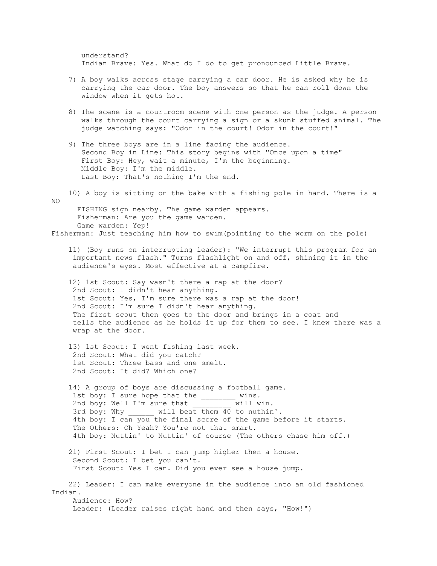understand? Indian Brave: Yes. What do I do to get pronounced Little Brave.

- 7) A boy walks across stage carrying a car door. He is asked why he is carrying the car door. The boy answers so that he can roll down the window when it gets hot.
- 8) The scene is a courtroom scene with one person as the judge. A person walks through the court carrying a sign or a skunk stuffed animal. The judge watching says: "Odor in the court! Odor in the court!"
- 9) The three boys are in a line facing the audience. Second Boy in Line: This story begins with "Once upon a time" First Boy: Hey, wait a minute, I'm the beginning. Middle Boy: I'm the middle. Last Boy: That's nothing I'm the end.

 10) A boy is sitting on the bake with a fishing pole in hand. There is a NO FISHING sign nearby. The game warden appears.

 Fisherman: Are you the game warden. Game warden: Yep!

Fisherman: Just teaching him how to swim(pointing to the worm on the pole)

 11) (Boy runs on interrupting leader): "We interrupt this program for an important news flash." Turns flashlight on and off, shining it in the audience's eyes. Most effective at a campfire.

 12) 1st Scout: Say wasn't there a rap at the door? 2nd Scout: I didn't hear anything. 1st Scout: Yes, I'm sure there was a rap at the door! 2nd Scout: I'm sure I didn't hear anything. The first scout then goes to the door and brings in a coat and tells the audience as he holds it up for them to see. I knew there was a wrap at the door.

 13) 1st Scout: I went fishing last week. 2nd Scout: What did you catch? 1st Scout: Three bass and one smelt. 2nd Scout: It did? Which one?

 14) A group of boys are discussing a football game. 1st boy: I sure hope that the \_\_\_\_\_\_\_\_ wins. 2nd boy: Well I'm sure that will win. 3rd boy: Why \_\_\_\_\_\_\_ will beat them 40 to nuthin'. 4th boy: I can you the final score of the game before it starts. The Others: Oh Yeah? You're not that smart. 4th boy: Nuttin' to Nuttin' of course (The others chase him off.)

 21) First Scout: I bet I can jump higher then a house. Second Scout: I bet you can't. First Scout: Yes I can. Did you ever see a house jump.

 22) Leader: I can make everyone in the audience into an old fashioned Indian. Audience: How? Leader: (Leader raises right hand and then says, "How!")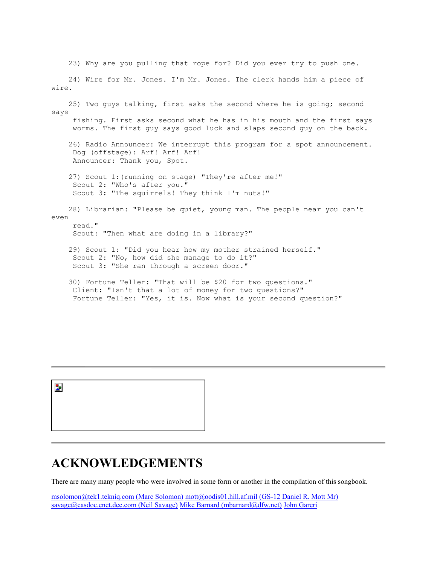23) Why are you pulling that rope for? Did you ever try to push one.

 24) Wire for Mr. Jones. I'm Mr. Jones. The clerk hands him a piece of wire.

 25) Two guys talking, first asks the second where he is going; second says fishing. First asks second what he has in his mouth and the first says worms. The first guy says good luck and slaps second guy on the back. 26) Radio Announcer: We interrupt this program for a spot announcement. Dog (offstage): Arf! Arf! Arf! Announcer: Thank you, Spot. 27) Scout 1:(running on stage) "They're after me!" Scout 2: "Who's after you." Scout 3: "The squirrels! They think I'm nuts!" 28) Librarian: "Please be quiet, young man. The people near you can't even read." Scout: "Then what are doing in a library?" 29) Scout 1: "Did you hear how my mother strained herself." Scout 2: "No, how did she manage to do it?" Scout 3: "She ran through a screen door." 30) Fortune Teller: "That will be \$20 for two questions."

Client: "Isn't that a lot of money for two questions?"

Fortune Teller: "Yes, it is. Now what is your second question?"

 $\overline{\phantom{a}}$ 

# **ACKNOWLEDGEMENTS**

There are many many people who were involved in some form or another in the compilation of this songbook.

msolomon@tek1.tekniq.com (Marc Solomon) mott@oodis01.hill.af.mil (GS-12 Daniel R. Mott Mr) savage@casdoc.enet.dec.com (Neil Savage) Mike Barnard (mbarnard@dfw.net) John Gareri